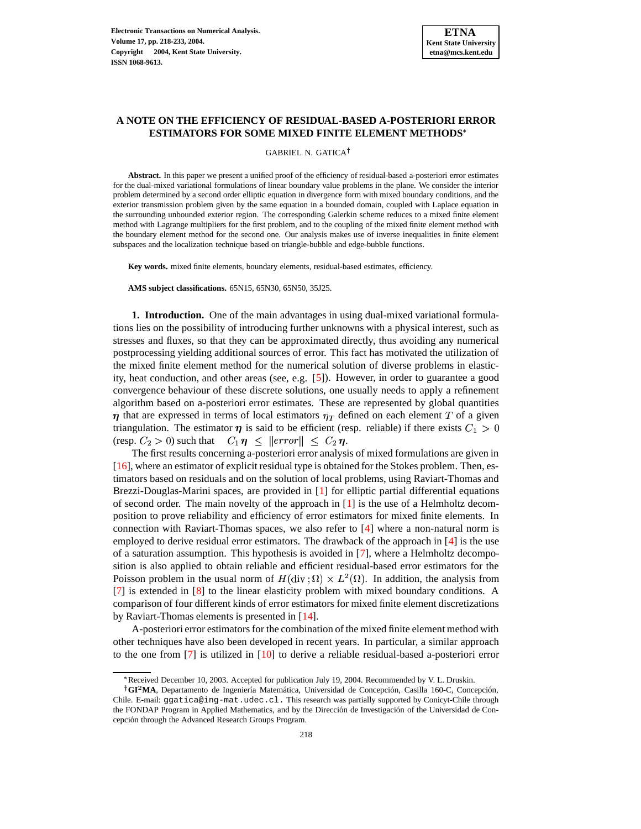# **A NOTE ON THE EFFICIENCY OF RESIDUAL-BASED A-POSTERIORI ERROR ESTIMATORS FOR SOME MIXED FINITE ELEMENT METHODS**

### GABRIEL N. GATICA

**Abstract.** In this paper we present a unified proof of the efficiency of residual-based a-posteriori error estimates for the dual-mixed variational formulations of linear boundary value problems in the plane. We consider the interior problem determined by a second order elliptic equation in divergence form with mixed boundary conditions, and the exterior transmission problem given by the same equation in a bounded domain, coupled with Laplace equation in the surrounding unbounded exterior region. The corresponding Galerkin scheme reduces to a mixed finite element method with Lagrange multipliers for the first problem, and to the coupling of the mixed finite element method with the boundary element method for the second one. Our analysis makes use of inverse inequalities in finite element subspaces and the localization technique based on triangle-bubble and edge-bubble functions.

**Key words.** mixed finite elements, boundary elements, residual-based estimates, efficiency.

**AMS subject classifications.** 65N15, 65N30, 65N50, 35J25.

<span id="page-0-0"></span>**1. Introduction.** One of the main advantages in using dual-mixed variational formulations lies on the possibility of introducing further unknowns with a physical interest, such as stresses and fluxes, so that they can be approximated directly, thus avoiding any numerical postprocessing yielding additional sources of error. This fact has motivated the utilization of the mixed finite element method for the numerical solution of diverse problems in elasticity, heat conduction, and other areas (see, e.g. [\[5\]](#page-14-0)). However, in order to guarantee a good convergence behaviour of these discrete solutions, one usually needs to apply a refinement algorithm based on a-posteriori error estimates. These are represented by global quantities  $\eta$  that are expressed in terms of local estimators  $\eta_T$  defined on each element T of a given triangulation. The estimator  $\eta$  is said to be efficient (resp. reliable) if there exists  $C_1 > 0$ (resp.  $C_2 > 0$ ) such that  $C_1 \eta \leq ||error|| \leq C_2 \eta$ .

The first results concerning a-posteriori error analysis of mixed formulations are given in [\[16\]](#page-15-0), where an estimator of explicit residual type is obtained for the Stokes problem. Then, estimators based on residuals and on the solution of local problems, using Raviart-Thomas and Brezzi-Douglas-Marini spaces, are provided in [\[1\]](#page-14-1) for elliptic partial differential equations of second order. The main novelty of the approach in [\[1\]](#page-14-1) is the use of a Helmholtz decomposition to prove reliability and efficiency of error estimators for mixed finite elements. In connection with Raviart-Thomas spaces, we also refer to [\[4\]](#page-14-2) where a non-natural norm is employed to derive residual error estimators. The drawback of the approach in [\[4\]](#page-14-2) is the use of a saturation assumption. This hypothesis is avoided in [\[7\]](#page-14-3), where a Helmholtz decomposition is also applied to obtain reliable and efficient residual-based error estimators for the Poisson problem in the usual norm of  $H(\text{div}; \Omega) \times L^2(\Omega)$ . In addition, the analysis from [\[7\]](#page-14-3) is extended in [\[8\]](#page-14-4) to the linear elasticity problem with mixed boundary conditions. A comparison of four different kinds of error estimators for mixed finite element discretizations by Raviart-Thomas elements is presented in [\[14\]](#page-14-5).

A-posteriori error estimatorsfor the combination of the mixed finite element method with other techniques have also been developed in recent years. In particular, a similar approach to the one from  $[7]$  is utilized in  $[10]$  to derive a reliable residual-based a-posteriori error

<sup>3</sup> Received December 10, 2003. Accepted for publication July 19, 2004. Recommended by V. L. Druskin.

<sup>&</sup>lt;sup>†</sup>GI<sup>2</sup>MA, Departamento de Ingeniería Matemática, Universidad de Concepción, Casilla 160-C, Concepción, Chile. E-mail: ggatica@ing-mat.udec.cl. This research was partially supported by Conicyt-Chile through the FONDAP Program in Applied Mathematics, and by the Dirección de Investigación of the Universidad de Concepcion´ through the Advanced Research Groups Program.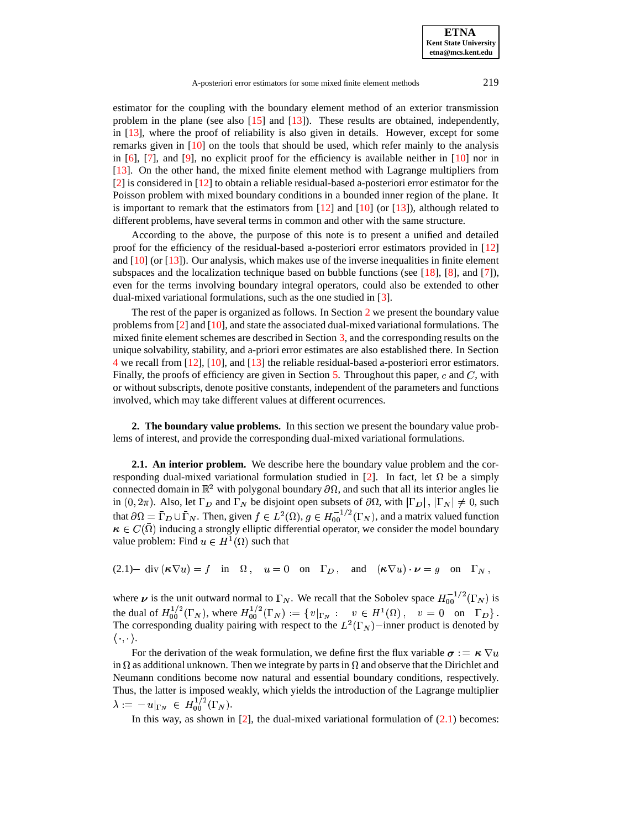estimator for the coupling with the boundary element method of an exterior transmission problem in the plane (see also [\[15\]](#page-15-1) and [\[13\]](#page-14-7)). These results are obtained, independently, in [\[13\]](#page-14-7), where the proof of reliability is also given in details. However, except for some remarks given in [\[10\]](#page-14-6) on the tools that should be used, which refer mainly to the analysis in  $[6]$ ,  $[7]$ , and  $[9]$ , no explicit proof for the efficiency is available neither in  $[10]$  nor in [\[13\]](#page-14-7). On the other hand, the mixed finite element method with Lagrange multipliers from [\[2\]](#page-14-10) is considered in [\[12\]](#page-14-11) to obtain a reliable residual-based a-posteriori error estimator for the Poisson problem with mixed boundary conditions in a bounded inner region of the plane. It is important to remark that the estimators from  $[12]$  and  $[10]$  (or  $[13]$ ), although related to different problems, have several terms in common and other with the same structure.

According to the above, the purpose of this note is to present a unified and detailed proof for the efficiency of the residual-based a-posteriori error estimators provided in [\[12\]](#page-14-11) and  $[10]$  (or  $[13]$ ). Our analysis, which makes use of the inverse inequalities in finite element subspaces and the localization technique based on bubble functions (see [\[18\]](#page-15-2), [\[8\]](#page-14-4), and [\[7\]](#page-14-3)), even for the terms involving boundary integral operators, could also be extended to other dual-mixed variational formulations, such as the one studied in [\[3\]](#page-14-12).

The rest of the paper is organized as follows. In Section [2](#page-1-0) we present the boundary value problems from  $\lceil 2 \rceil$  and  $\lceil 10 \rceil$ , and state the associated dual-mixed variational formulations. The mixed finite element schemes are described in Section [3,](#page-3-0) and the corresponding results on the unique solvability, stability, and a-priori error estimates are also established there. In Section [4](#page-5-0) we recall from [\[12\]](#page-14-11), [\[10\]](#page-14-6), and [\[13\]](#page-14-7) the reliable residual-based a-posteriori error estimators. Finally, the proofs of efficiency are given in Section [5.](#page-7-0) Throughout this paper,  $c$  and  $C$ , with or without subscripts, denote positive constants, independent of the parameters and functions involved, which may take different values at different ocurrences.

<span id="page-1-0"></span>**2. The boundary value problems.** In this section we present the boundary value problems of interest, and provide the corresponding dual-mixed variational formulations.

<span id="page-1-2"></span>**2.1. An interior problem.** We describe here the boundary value problem and the cor-responding dual-mixed variational formulation studied in [\[2\]](#page-14-10). In fact, let  $\Omega$  be a simply connected domain in  $\mathbb{R}^2$  with polygonal boundary  $\partial\Omega$ , and such that all its interior angles lie in  $(0, 2\pi)$ . Also, let  $\Gamma_D$  and  $\Gamma_N$  be disjoint open subsets of  $\partial\Omega$ , with  $|\Gamma_D|, |\Gamma_N| \neq 0$ , such that  $\partial\Omega = \Gamma_D \cup \Gamma_N$ . Then, given  $f \in L^2(\Omega)$ ,  $g \in H^{-1/2}_{00}(\Gamma_N)$ , and a matrix valued function  $\kappa \in C(\Omega)$  inducing a strongly elliptic differential operator, we consider the model boundary value problem: Find  $u \in H^1(\Omega)$  such that

<span id="page-1-1"></span> $(2.1)$  div  $(\kappa \nabla u) = f$  in  $\Omega$ ,  $u = 0$  on  $\Gamma_D$ , and  $(\kappa \nabla u) \cdot \nu = g$  on  $\Gamma_N$ ,

where  $\nu$  is the unit outward normal to  $\Gamma_N$ . We recall that the Sobolev space  $H_{00}^{-1/2}(\Gamma_N)$  is the dual of  $H_{00}^{1/2}(\Gamma_N)$ , where  $H_{00}^{1/2}(\Gamma_N) := \{ v|_{\Gamma_N} : v \in H^1(\Omega)$ ,  $v = 0$  on  $\Gamma_D \}$ .<br>The corresponding duality pairing with respect to the  $L^2(\Gamma_N)$  –inner product is denoted by  $\langle \cdot, \cdot \rangle$ .

For the derivation of the weak formulation, we define first the flux variable  $\sigma := \kappa \nabla u$ in  $\Omega$  as additional unknown. Then we integrate by parts in  $\Omega$  and observe that the Dirichlet and Neumann conditions become now natural and essential boundary conditions, respectively. Thus, the latter is imposed weakly, which yields the introduction of the Lagrange multiplier  $\lambda := -u|_{\Gamma_N} \in H^{1/2}_{00}(\Gamma_N).$ 

In this way, as shown in  $[2]$ , the dual-mixed variational formulation of  $(2.1)$  becomes: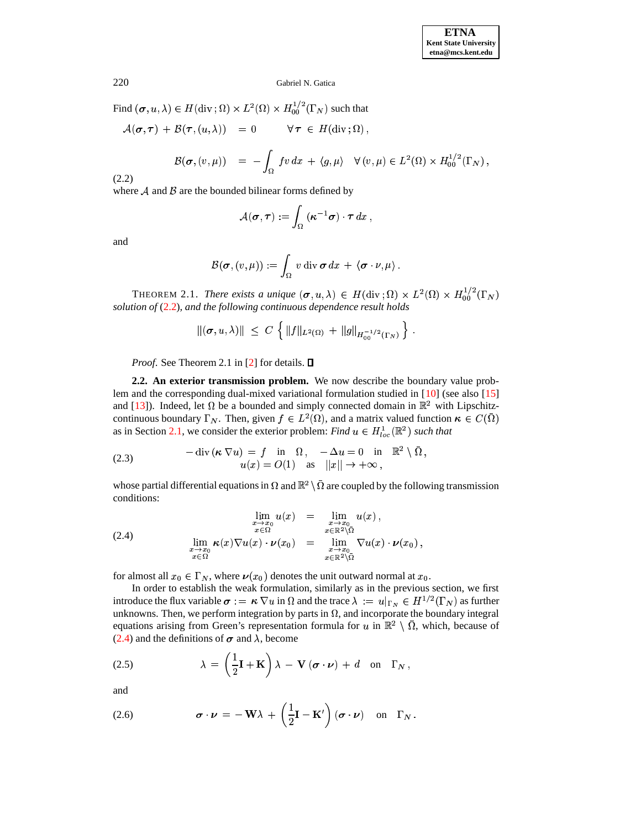<span id="page-2-0"></span>Find  $(\sigma, u, \lambda) \in H(\text{div}; \Omega) \times L^2(\Omega) \times H_{00}^{1/2}(\Gamma_N)$  such that

$$
\mathcal{A}(\sigma,\tau) + \mathcal{B}(\tau,(u,\lambda)) = 0 \quad \forall \tau \in H(\text{div}\,;\Omega),
$$

$$
\mathcal{B}(\boldsymbol{\sigma},(v,\mu)) = -\int_{\Omega} fv \, dx + \langle g, \mu \rangle \quad \forall (v,\mu) \in L^{2}(\Omega) \times H_{00}^{1/2}(\Gamma_{N}),
$$

 $(2.2)$ 

where  $A$  and  $B$  are the bounded bilinear forms defined by

$$
\mathcal{A}(\boldsymbol{\sigma},\boldsymbol{\tau}):=\int_{\Omega}(\boldsymbol{\kappa}^{-1}\boldsymbol{\sigma})\cdot\boldsymbol{\tau}\,dx\,,
$$

and

$$
\mathcal{B}(\boldsymbol{\sigma},(v,\mu)) := \int_{\Omega} v \operatorname{div} \boldsymbol{\sigma} \, dx + \langle \boldsymbol{\sigma} \cdot v, \mu \rangle.
$$

THEOREM 2.1. There exists a unique  $(\sigma, u, \lambda) \in H(\text{div}; \Omega) \times L^2(\Omega) \times H_{00}^{1/2}(\Gamma_N)$ solution of  $(2.2)$ , and the following continuous dependence result holds

$$
\|(\sigma, u, \lambda)\| \leq C \left\{ \|f\|_{L^2(\Omega)} + \|g\|_{H_{00}^{-1/2}(\Gamma_N)} \right\}.
$$

*Proof.* See Theorem 2.1 in [2] for details.  $\square$ 

2.2. An exterior transmission problem. We now describe the boundary value problem and the corresponding dual-mixed variational formulation studied in  $[10]$  (see also  $[15]$ and [13]). Indeed, let  $\Omega$  be a bounded and simply connected domain in  $\mathbb{R}^2$  with Lipschitzcontinuous boundary  $\Gamma_N$ . Then, given  $f \in L^2(\Omega)$ , and a matrix valued function  $\kappa \in C(\overline{\Omega})$ as in Section 2.1, we consider the exterior problem: Find  $u \in H_{loc}^1(\mathbb{R}^2)$  such that

<span id="page-2-2"></span>(2.3) 
$$
-\operatorname{div}(\kappa \nabla u) = f \text{ in } \Omega, \quad -\Delta u = 0 \text{ in } \mathbb{R}^2 \setminus \overline{\Omega},
$$

$$
u(x) = O(1) \text{ as } ||x|| \to +\infty,
$$

whose partial differential equations in  $\Omega$  and  $\mathbb{R}^2 \setminus \overline{\Omega}$  are coupled by the following transmission conditions:

<span id="page-2-1"></span>
$$
\lim_{\substack{x \to x_0 \\ x \in \mathbb{R}^2 \setminus \Omega}} u(x) = \lim_{\substack{x \to x_0 \\ x \in \mathbb{R}^2 \setminus \Omega}} u(x),
$$
\n
$$
\lim_{\substack{x \to x_0 \\ x \in \mathbb{R}^2}} \kappa(x) \nabla u(x) \cdot \nu(x_0) = \lim_{\substack{x \to x_0 \\ x \in \mathbb{R}^2 \setminus \Omega}} \nabla u(x) \cdot \nu(x_0),
$$

for almost all  $x_0 \in \Gamma_N$ , where  $\nu(x_0)$  denotes the unit outward normal at  $x_0$ .

In order to establish the weak formulation, similarly as in the previous section, we first introduce the flux variable  $\sigma := \kappa \nabla u$  in  $\Omega$  and the trace  $\lambda := u|_{\Gamma_N} \in H^{1/2}(\Gamma_N)$  as further unknowns. Then, we perform integration by parts in  $\Omega$ , and incorporate the boundary integral equations arising from Green's representation formula for u in  $\mathbb{R}^2 \setminus \overline{\Omega}$ , which, because of  $(2.4)$  and the definitions of  $\sigma$  and  $\lambda$ , become

<span id="page-2-3"></span>(2.5) 
$$
\lambda = \left(\frac{1}{2}\mathbf{I} + \mathbf{K}\right)\lambda - \mathbf{V}(\boldsymbol{\sigma} \cdot \boldsymbol{\nu}) + d \quad \text{on} \quad \Gamma_N,
$$

and

<span id="page-2-4"></span>(2.6) 
$$
\boldsymbol{\sigma} \cdot \boldsymbol{\nu} = -\mathbf{W}\lambda + \left(\frac{1}{2}\mathbf{I} - \mathbf{K}'\right)(\boldsymbol{\sigma} \cdot \boldsymbol{\nu}) \text{ on } \Gamma_N.
$$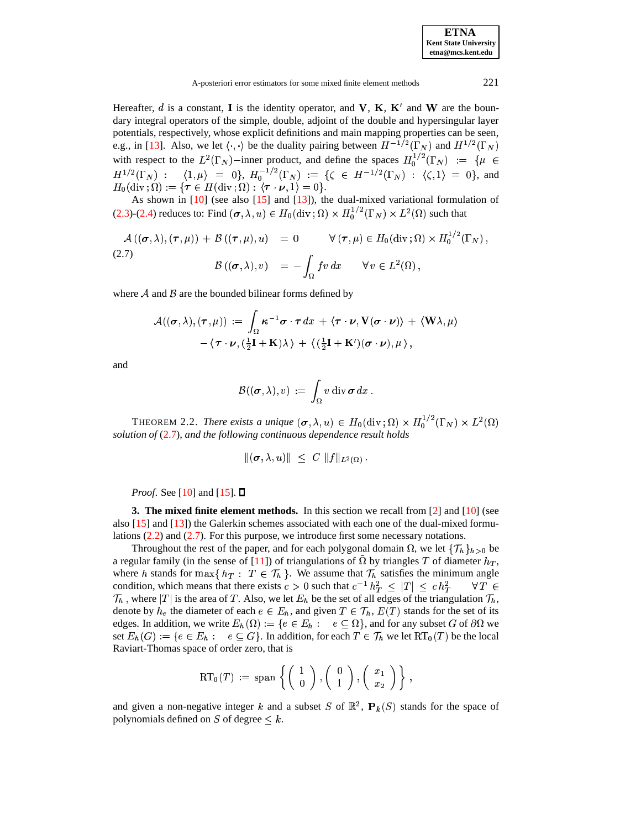A-posteriori error estimators for some mixed finite element methods

Hereafter, d is a constant, I is the identity operator, and V, K, K' and W are the boundary integral operators of the simple, double, adjoint of the double and hypersingular layer potentials, respectively, whose explicit definitions and main mapping properties can be seen, e.g., in [13]. Also, we let  $\langle \cdot, \cdot \rangle$  be the duality pairing between  $H^{-1/2}(\Gamma_N)$  and  $H^{1/2}(\Gamma_N)$ with respect to the  $L^2(\Gamma_N)$ -inner product, and define the spaces  $H_0^{1/2}(\Gamma_N) := \{ \mu \in H^{1/2}(\Gamma_N) : \langle 1, \mu \rangle = 0 \}$ ,  $H_0^{-1/2}(\Gamma_N) := \{ \zeta \in H^{-1/2}(\Gamma_N) : \langle \zeta, 1 \rangle = 0 \}$ , and  $H_0(\text{div }\,;\Omega):=\{\boldsymbol{\tau}\in H(\text{div }\,;\Omega):\ (\boldsymbol{\tau}\cdot\boldsymbol{\nu},1)=0\}.$ 

As shown in  $[10]$  (see also  $[15]$  and  $[13]$ ), the dual-mixed variational formulation of (2.3)-(2.4) reduces to: Find  $(\sigma, \lambda, u) \in H_0(\text{div}; \Omega) \times H_0^{1/2}(\Gamma_N) \times L^2(\Omega)$  such that

<span id="page-3-1"></span>
$$
\mathcal{A}((\sigma,\lambda),(\tau,\mu)) + \mathcal{B}((\tau,\mu),u) = 0 \qquad \forall (\tau,\mu) \in H_0(\text{div};\Omega) \times H_0^{1/2}(\Gamma_N),
$$
  
(2.7)  

$$
\mathcal{B}((\sigma,\lambda),v) = -\int_{\Omega} fv \, dx \qquad \forall v \in L^2(\Omega),
$$

where  $A$  and  $B$  are the bounded bilinear forms defined by

$$
\mathcal{A}((\boldsymbol{\sigma},\lambda),(\boldsymbol{\tau},\mu)) := \int_{\Omega} \boldsymbol{\kappa}^{-1} \boldsymbol{\sigma} \cdot \boldsymbol{\tau} \, dx + \langle \boldsymbol{\tau} \cdot \boldsymbol{\nu}, \mathbf{V}(\boldsymbol{\sigma} \cdot \boldsymbol{\nu}) \rangle + \langle \mathbf{W}\lambda, \mu \rangle -\langle \boldsymbol{\tau} \cdot \boldsymbol{\nu}, (\frac{1}{2}\mathbf{I} + \mathbf{K})\lambda \rangle + \langle (\frac{1}{2}\mathbf{I} + \mathbf{K}')(\boldsymbol{\sigma} \cdot \boldsymbol{\nu}), \mu \rangle,
$$

and

$$
\mathcal{B}((\boldsymbol{\sigma},\lambda),v) \;:=\; \int_{\Omega} v \operatorname{div} \boldsymbol{\sigma} \,dx \,.
$$

THEOREM 2.2. There exists a unique  $(\sigma, \lambda, u) \in H_0(\text{div}; \Omega) \times H_0^{1/2}(\Gamma_N) \times L^2(\Omega)$ solution of  $(2.7)$ , and the following continuous dependence result holds

$$
\|(\boldsymbol{\sigma},\lambda,u)\| \leq C \|f\|_{L^2(\Omega)}
$$

*Proof.* See [10] and [15].  $\square$ 

<span id="page-3-0"></span>**3. The mixed finite element methods.** In this section we recall from [2] and  $[10]$  (see also  $[15]$  and  $[13]$ ) the Galerkin schemes associated with each one of the dual-mixed formulations  $(2.2)$  and  $(2.7)$ . For this purpose, we introduce first some necessary notations.

Throughout the rest of the paper, and for each polygonal domain  $\Omega$ , we let  $\{\mathcal{T}_h\}_{h>0}$  be a regular family (in the sense of [11]) of triangulations of  $\Omega$  by triangles T of diameter  $h_T$ , where h stands for  $\max\{h_T : T \in \mathcal{T}_h\}$ . We assume that  $\mathcal{T}_h$  satisfies the minimum angle condition, which means that there exists  $c > 0$  such that  $c^{-1} h_T^2 \leq |T| \leq c h_T^2$  $\forall T \in$  $\mathcal{T}_h$ , where  $|T|$  is the area of T. Also, we let  $E_h$  be the set of all edges of the triangulation  $\mathcal{T}_h$ , denote by  $h_e$  the diameter of each  $e \in E_h$ , and given  $T \in \mathcal{T}_h$ ,  $E(T)$  stands for the set of its edges. In addition, we write  $E_h(\Omega) := \{e \in E_h : e \subseteq \Omega\}$ , and for any subset G of  $\partial \Omega$  we set  $E_h(G) := \{e \in E_h : e \subseteq G\}$ . In addition, for each  $T \in \mathcal{T}_h$  we let  $RT_0(T)$  be the local Raviart-Thomas space of order zero, that is

$$
\mathrm{RT}_0(T) := \mathrm{span}\left\{ \left(\begin{array}{c} 1 \\ 0 \end{array}\right), \left(\begin{array}{c} 0 \\ 1 \end{array}\right), \left(\begin{array}{c} x_1 \\ x_2 \end{array}\right) \right\},\,
$$

and given a non-negative integer k and a subset S of  $\mathbb{R}^2$ ,  $\mathbf{P}_k(S)$  stands for the space of polynomials defined on S of degree  $\leq k$ .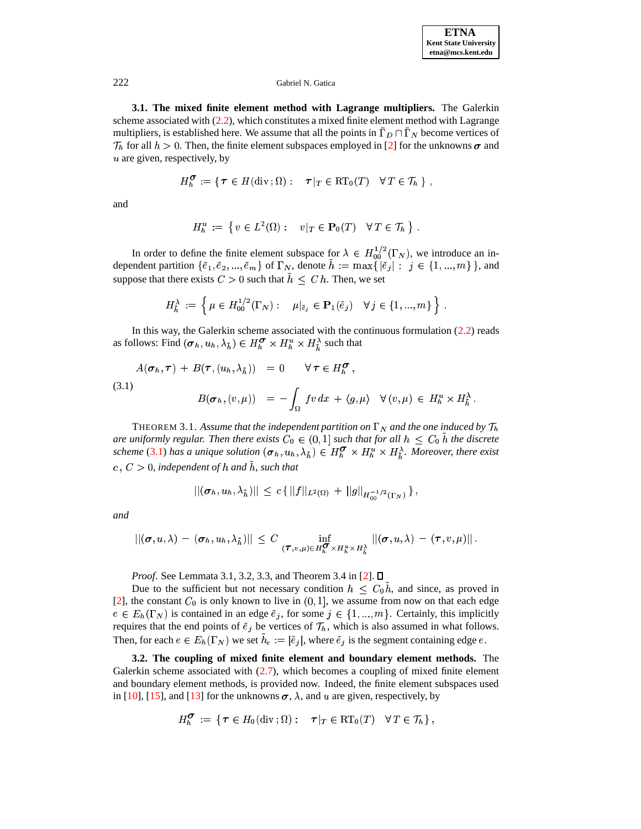3.1. The mixed finite element method with Lagrange multipliers. The Galerkin scheme associated with  $(2.2)$ , which constitutes a mixed finite element method with Lagrange multipliers, is established here. We assume that all the points in  $\bar{\Gamma}_D \cap \bar{\Gamma}_N$  become vertices of  $\mathcal{T}_h$  for all  $h > 0$ . Then, the finite element subspaces employed in [2] for the unknowns  $\sigma$  and  $u$  are given, respectively, by

$$
H_h^{\sigma} := \{ \tau \in H(\text{div}\,;\Omega) : \quad \tau|_T \in \text{RT}_0(T) \quad \forall T \in \mathcal{T}_h \} ,
$$

and

$$
H_h^u := \{ v \in L^2(\Omega) : v|_T \in \mathbf{P}_0(T) \quad \forall T \in \mathcal{T}_h \} .
$$

In order to define the finite element subspace for  $\lambda \in H_{00}^{1/2}(\Gamma_N)$ , we introduce an in-<br>dependent partition  $\{\tilde{e}_1, \tilde{e}_2, ..., \tilde{e}_m\}$  of  $\Gamma_N$ , denote  $\tilde{h} := \max\{|\tilde{e}_j| : j \in \{1, ..., m\}\}\$ , and suppose that there exists  $C > 0$  such that  $h \leq C h$ . Then, we set

$$
H_{\tilde{h}}^{\lambda} := \left\{ \mu \in H_{00}^{1/2}(\Gamma_N) : \mu|_{\tilde{e}_j} \in \mathbf{P}_1(\tilde{e}_j) \quad \forall j \in \{1, ..., m\} \right\}.
$$

In this way, the Galerkin scheme associated with the continuous formulation  $(2.2)$  reads as follows: Find  $(\sigma_h, u_h, \lambda_{\tilde{h}}) \in H_h^{\sigma} \times H_h^u \times H_{\tilde{h}}^{\lambda}$  such that

<span id="page-4-0"></span>(3.1)  
\n
$$
A(\sigma_h, \tau) + B(\tau, (u_h, \lambda_{\tilde{h}})) = 0 \quad \forall \tau \in H_h^{\sigma},
$$
\n
$$
B(\sigma_h, (v, \mu)) = -\int_{\Omega} fv \, dx + \langle g, \mu \rangle \quad \forall (v, \mu) \in H_h^u \times H_h^{\lambda}.
$$

THEOREM 3.1. Assume that the independent partition on  $\Gamma_N$  and the one induced by  $\mathcal{T}_h$ are uniformly regular. Then there exists  $C_0 \in (0,1]$  such that for all  $h \leq C_0 h$  the discrete scheme (3.1) has a unique solution  $(\sigma_h, u_h, \lambda_h) \in H_h^{\sigma} \times H_h^u \times H_h^{\lambda}$ . Moreover, there exist c,  $C > 0$ , independent of h and  $\tilde{h}$ , such that

$$
||(\pmb{\sigma}_h,u_h,\lambda_{\tilde h})||\,\leq\,c\,\{\,\|f||_{L^2(\Omega)}\,+\,||g||_{H^{-1/2}_{00}(\Gamma_N)}\,\}\,,
$$

and

$$
\|(\boldsymbol{\sigma},u,\lambda)-(\boldsymbol{\sigma}_h,u_h,\lambda_{\tilde{h}})\| \leq C \inf_{(\boldsymbol{\tau},v,\mu)\in H_h^{\boldsymbol{\sigma}}\times H_h^u\times H_{\tilde{h}}^{\lambda}} \left\|(\boldsymbol{\sigma},u,\lambda)-(\boldsymbol{\tau},v,\mu)\right\|.
$$

*Proof.* See Lemmata 3.1, 3.2, 3.3, and Theorem 3.4 in [2].  $\Box$ 

Due to the sufficient but not necessary condition  $h \leq C_0 h$ , and since, as proved in [2], the constant  $C_0$  is only known to live in  $(0,1]$ , we assume from now on that each edge  $e \in E_h(\Gamma_N)$  is contained in an edge  $\tilde{e}_j$ , for some  $j \in \{1, ..., m\}$ . Certainly, this implicitly requires that the end points of  $\tilde{e}_j$  be vertices of  $\mathcal{T}_h$ , which is also assumed in what follows. Then, for each  $e \in E_h(\Gamma_N)$  we set  $\tilde{h}_e := |\tilde{e}_j|$ , where  $\tilde{e}_j$  is the segment containing edge e.

3.2. The coupling of mixed finite element and boundary element methods. The Galerkin scheme associated with  $(2.7)$ , which becomes a coupling of mixed finite element and boundary element methods, is provided now. Indeed, the finite element subspaces used in [10], [15], and [13] for the unknowns  $\sigma$ ,  $\lambda$ , and u are given, respectively, by

$$
H_{h}^{\textbf{C}}\;:=\;\{\,\boldsymbol{\tau}\in H_{0}(\textrm{div}\,;\Omega):\quad \boldsymbol{\tau}|_{T}\in\mathrm{RT}_{0}(T)\quad\forall\,T\in\mathcal{T}_{h}\,\}\,,
$$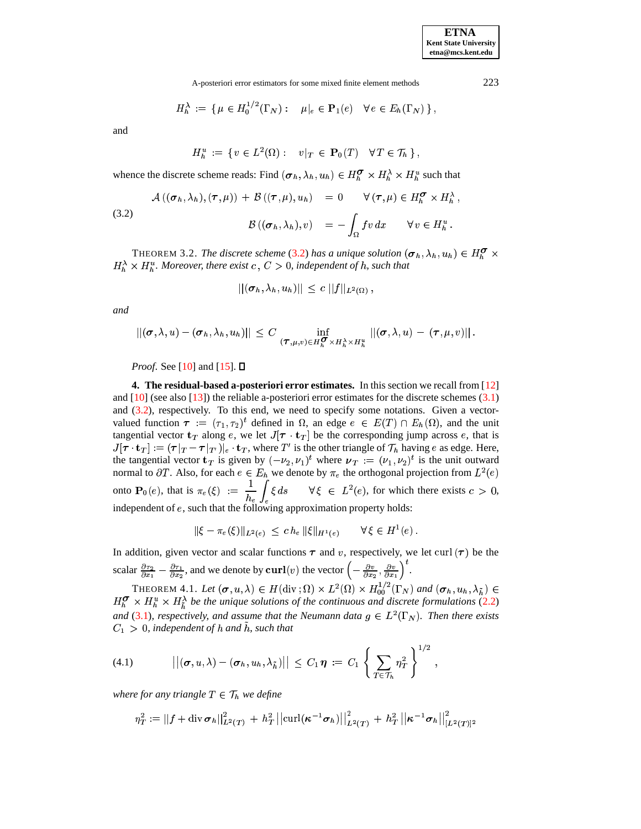A-posteriori error estimators for some mixed finite element methods 223

$$
H_h^{\lambda} := \{ \mu \in H_0^{1/2}(\Gamma_N) : \mu|_e \in \mathbf{P}_1(e) \quad \forall e \in E_h(\Gamma_N) \},
$$

and

 $H^{\mu}_{b} := \{ v \in L^{2}(\Omega) : v |_{T} \in \mathbf{P}_{0}(T) \quad \forall T \in \mathcal{T}_{b} \},$ 

whence the discrete scheme reads: Find  $(\sigma_h, \lambda_h, u_h) \in H_h^{\mathcal{O}} \times H_h^{\lambda} \times H_h^u$  such that

<span id="page-5-1"></span>(3.2) 
$$
\mathcal{A}((\sigma_h, \lambda_h), (\tau, \mu)) + \mathcal{B}((\tau, \mu), u_h) = 0 \quad \forall (\tau, \mu) \in H_h^{\sigma} \times H_h^{\lambda},
$$

$$
\mathcal{B}((\sigma_h, \lambda_h), v) = -\int_{\Omega} fv \, dx \quad \forall v \in H_h^u.
$$

THEOREM 3.2. The discrete scheme [\(3.2\)](#page-5-1) has a unique solution  $(\sigma_h, \lambda_h, u_h) \in H_h^{\mathbf{G}} \times$  $H_h^{\lambda} \times H_h^u$ . Moreover, there exist  $c$  ,  $C > 0$ , independent of h, such that

$$
||(\boldsymbol{\sigma}_h,\lambda_h,u_h)|| \, \leq \, c \, \, ||f||_{L^2(\Omega)} \, ,
$$

*and*

$$
||(\boldsymbol{\sigma},\lambda,u)-(\boldsymbol{\sigma}_h,\lambda_h,u_h)||\,\leq\,C\,\inf_{(\boldsymbol{\tau},\mu,v)\in H_{h}^{\boldsymbol{\sigma}}\times H_{h}^{\lambda}\times H_{h}^{u}}\,||(\boldsymbol{\sigma},\lambda,u)-(\boldsymbol{\tau},\mu,v)||\,.
$$

*Proof.* See [\[10\]](#page-14-6) and [\[15\]](#page-15-1).  $\Box$ 

<span id="page-5-0"></span>**4. The residual-based a-posteriori error estimates.** In this section we recall from [\[12\]](#page-14-11) and [\[10\]](#page-14-6) (see also [\[13\]](#page-14-7)) the reliable a-posteriori error estimates for the discrete schemes [\(3.1\)](#page-4-0) and [\(3.2\)](#page-5-1), respectively. To this end, we need to specify some notations. Given a vectorvalued function  $\tau := (\tau_1, \tau_2)^t$  defined <sup>t</sup> defined in  $\Omega$ , an edge  $e \in E(T) \cap E_h(\Omega)$ , and the unit tangential vector  $\mathbf{t}_T$  along e, we let  $J[\tau \cdot \mathbf{t}_T]$  be the corresponding jump across e, that is  $J[\tau \cdot \mathbf{t}_T] := (\tau |_{T} - \tau |_{T'})|_e \cdot \mathbf{t}_T$ , where T' is the other triangle of  $\mathcal{T}_h$  having e as edge. Here, the tangential vector  $\mathbf{t}_T$  is given by  $(-\nu_2, \nu_1)^t$  where  $\nu_T := (\nu_1, \nu_2)^t$  is the  $<sup>t</sup>$  is the unit outward</sup> normal to  $\partial T$ . Also, for each  $e \in E_h$  we denote by  $\pi_e$  the orthogonal projection from  $L^2(e)$ onto  $\mathbf{P}_0(e)$ , that is  $\pi_e(\xi) := \frac{1}{h_e} \int_{\xi} \xi ds \quad \forall \xi \in L^2(e)$ , for which there exists  $c > 0$ , independent of  $e$ , such that the following approximation property holds:

$$
\|\xi - \pi_e(\xi)\|_{L^2(e)} \leq c h_e \, \|\xi\|_{H^1(e)} \qquad \forall \, \xi \in H^1(e) \, .
$$

In addition, given vector and scalar functions  $\tau$  and v, respectively, we let curl  $(\tau)$  be the scalar  $\frac{\partial \tau_2}{\partial x_1} - \frac{\partial \tau_1}{\partial x_2}$ , and we denote by  $\text{curl}(v)$  the vector  $\left(-\frac{\partial v}{\partial x_2}, \frac{\partial v}{\partial x_1}\right)$ .

THEOREM 4.1. Let  $(\sigma, u, \lambda) \in H(\text{div}; \Omega) \times L^2(\Omega) \times H_{00}^{1/2}(\Gamma_N)$  and  $(\sigma_h, u_h, \lambda_h) \in$  $H_b^{\sigma} \times H_b^u \times H_b^{\lambda}$  be the unique solutions of the continuous and discrete formulations [\(2.2\)](#page-2-0) and [\(3.1\)](#page-4-0), respectively, and assume that the Neumann data  $g \in L^2(\Gamma_N)$ . Then there exists  $C_1 > 0$ , independent of  $h$  and  $h$ , such that

(4.1) 
$$
\left\|(\boldsymbol{\sigma}, u, \lambda) - (\boldsymbol{\sigma}_h, u_h, \lambda_{\tilde{h}})\right\| \leq C_1 \, \boldsymbol{\eta} := C_1 \left\{\sum_{T \in \mathcal{T}_h} \eta_T^2\right\}^{1/2},
$$

where for any triangle  $T \in \mathcal{T}_h$  we define

$$
\eta_T^2 := \left|\left| f + \text{div}\, \boldsymbol{\sigma}_h \right|\right|^2_{L^2(T)} \,+\, h_T^2 \left|\left| \text{curl} (\boldsymbol{\kappa}^{-1} \boldsymbol{\sigma}_h) \right|\right|^2_{L^2(T)} \,+\, h_T^2 \left|\left| \boldsymbol{\kappa}^{-1} \boldsymbol{\sigma}_h \right|\right|^2_{[L^2(T)]^2}
$$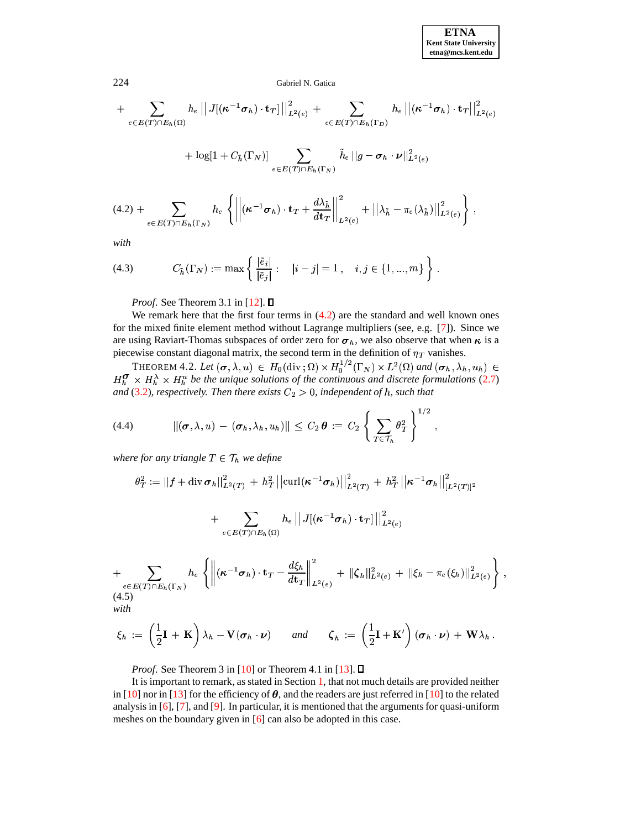### Gabriel N. Gatica

$$
+ \sum_{e \in E(T) \cap E_h(\Omega)} h_e \left\| J[(\kappa^{-1} \sigma_h) \cdot \mathbf{t}_T] \right\|_{L^2(e)}^2 + \sum_{e \in E(T) \cap E_h(\Gamma_D)} h_e \left\| (\kappa^{-1} \sigma_h) \cdot \mathbf{t}_T \right\|_{L^2(e)}^2
$$

$$
+ \log[1 + C_{\tilde{h}}(\Gamma_N)] \sum_{e \in E(T) \cap E_h(\Gamma_N)} \tilde{h}_e \left\| g - \sigma_h \cdot \nu \right\|_{L^2(e)}^2
$$

$$
(4.2) + \sum_{e \in E(T) \cap E_h(\Gamma_N)} h_e \left\{ \left\| (\kappa^{-1} \sigma_h) \cdot \mathbf{t}_T + \frac{d\lambda_{\tilde{h}}}{dt_T} \right\|_{L^2(e)}^2 + \left\| \lambda_{\tilde{h}} - \pi_e(\lambda_{\tilde{h}}) \right\|_{L^2(e)}^2 \right\},
$$

<span id="page-6-0"></span>with

(4.3) 
$$
C_{\tilde{h}}(\Gamma_N) := \max \left\{ \frac{|\tilde{e}_i|}{|\tilde{e}_j|} : |i - j| = 1, i, j \in \{1, ..., m\} \right\}.
$$

*Proof.* See Theorem 3.1 in [12].  $\Box$ 

We remark here that the first four terms in  $(4.2)$  are the standard and well known ones for the mixed finite element method without Lagrange multipliers (see, e.g. [7]). Since we are using Raviart-Thomas subspaces of order zero for  $\sigma_h$ , we also observe that when  $\kappa$  is a piecewise constant diagonal matrix, the second term in the definition of  $\eta_T$  vanishes.

THEOREM 4.2. Let  $(\sigma, \lambda, u) \in H_0(\text{div}; \Omega) \times H_0^{1/2}(\Gamma_N) \times L^2(\Omega)$  and  $(\sigma_h, \lambda_h, u_h) \in H_h^{\sigma} \times H_h^{\lambda} \times H_h^u$  be the unique solutions of the continuous and discrete formulations (2.7) and (3.2), respectively. Then there exists  $C_2 > 0$ , independent of h, such that

(4.4) 
$$
\|(\boldsymbol{\sigma},\lambda,\boldsymbol{u}) - (\boldsymbol{\sigma}_h,\lambda_h,\boldsymbol{u}_h)\| \leq C_2 \boldsymbol{\theta} := C_2 \left\{ \sum_{T \in \mathcal{T}_h} \theta_T^2 \right\}^{1/2},
$$

where for any triangle  $T \in \mathcal{T}_h$  we define

$$
\theta_T^2 := ||f + \operatorname{div} \boldsymbol{\sigma}_h||_{L^2(T)}^2 + h_T^2 ||\operatorname{curl}(\boldsymbol{\kappa}^{-1} \boldsymbol{\sigma}_h)||_{L^2(T)}^2 + h_T^2 ||\boldsymbol{\kappa}^{-1} \boldsymbol{\sigma}_h||_{[L^2(T)]^2}^2
$$

$$
+ \, \sum_{e \in E(T) \cap E_h(\Omega)} h_e \, \big\| \, J[(\kappa^{-1} \pmb{\sigma}_h) \cdot {\mathbf{t}_T}] \, \big\|_{L^2(e)}^2
$$

$$
+\sum_{e\in E(T)\cap E_h(\Gamma_N)} h_e\left\{\left\|(\kappa^{-1}\sigma_h)\cdot \mathbf{t}_T - \frac{d\xi_h}{d\mathbf{t}_T}\right\|_{L^2(e)}^2 + \|\zeta_h\|_{L^2(e)}^2 + \|\xi_h - \pi_e(\xi_h)\|_{L^2(e)}^2\right\},\tag{4.5}
$$

with

$$
\xi_h := \left(\frac{1}{2}\mathbf{I} + \mathbf{K}\right)\lambda_h - \mathbf{V}(\boldsymbol{\sigma}_h \cdot \boldsymbol{\nu}) \quad \text{and} \quad \zeta_h := \left(\frac{1}{2}\mathbf{I} + \mathbf{K}'\right)(\boldsymbol{\sigma}_h \cdot \boldsymbol{\nu}) + \mathbf{W}\lambda_h
$$

*Proof.* See Theorem 3 in [10] or Theorem 4.1 in [13].  $\Box$ 

It is important to remark, as stated in Section 1, that not much details are provided neither in [10] nor in [13] for the efficiency of  $\theta$ , and the readers are just referred in [10] to the related analysis in [6], [7], and [9]. In particular, it is mentioned that the arguments for quasi-uniform meshes on the boundary given in  $[6]$  can also be adopted in this case.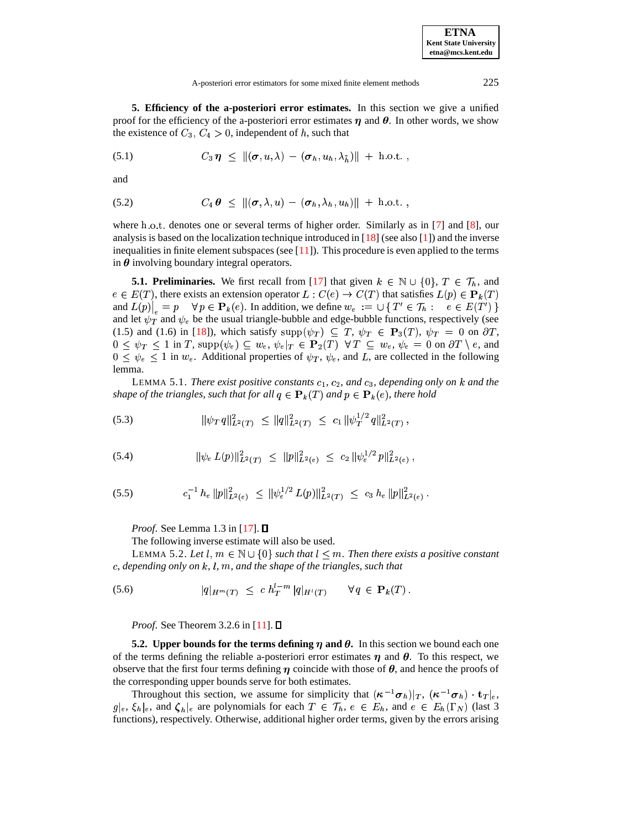A-posteriori error estimators for some mixed finite element methods 225

<span id="page-7-0"></span>**5. Efficiency of the a-posteriori error estimates.** In this section we give a unified proof for the efficiency of the a-posteriori error estimates  $\eta$  and  $\theta$ . In other words, we show the existence of  $C_3, C_4 > 0$ , independent of h, such that

<span id="page-7-5"></span>
$$
(5.1) \tC_3 \eta \leq \|(\boldsymbol{\sigma}, u, \lambda) - (\boldsymbol{\sigma}_h, u_h, \lambda_{\tilde{h}})\| + \text{h.o.t.} ,
$$

<span id="page-7-6"></span>and

$$
(5.2) \tC_4 \theta \leq \|(\boldsymbol{\sigma}, \lambda, u) - (\boldsymbol{\sigma}_h, \lambda_h, u_h)\| + \text{h.o.t.} ,
$$

where h.o.t. denotes one or several terms of higher order. Similarly as in  $[7]$  and  $[8]$ , our analysis is based on the localization technique introduced in  $[18]$  (see also  $[1]$ ) and the inverse inequalities in finite element subspaces (see  $[11]$ ). This procedure is even applied to the terms in  $\theta$  involving boundary integral operators.

**5.1. Preliminaries.** We first recall from [\[17\]](#page-15-3) that given  $k \in \mathbb{N} \cup \{0\}$ ,  $T \in \mathcal{T}_h$ , and  $e \in E(T)$ , there exists an extension operator  $L : C(e) \to C(T)$  that satisfies  $L(p) \in \mathbf{P}_k(T)$ and  $L(p)|_e = p \quad \forall \ p \in \mathbf{P}_k(e)$ . In addition, we define  $w_e := \bigcup \{ T' \in \mathcal{T}_h : e \in E(T') \}$ and let  $\psi_T$  and  $\psi_e$  be the usual triangle-bubble and edge-bubble functions, respectively (see (1.5) and (1.6) in [\[18\]](#page-15-2)), which satisfy  $\text{supp}(\psi_T) \subseteq T$ ,  $\psi_T \in \mathbf{P}_3(T)$ ,  $\psi_T = 0$  on  $\partial T$ ,  $0 \leq \psi_T \leq 1$  in T,  $\text{supp}(\psi_e) \subseteq w_e$ ,  $\psi_e|_T \in \mathbf{P}_2(T) \ \ \forall T \subseteq w_e$ ,  $\psi_e = 0$  on  $\partial T \setminus e$ , and  $0 \leq \psi_e \leq 1$  in  $w_e$ . Additional properties of  $\psi_T$ ,  $\psi_e$ , and L, are collected in the following lemma.

LEMMA 5.1. *There exist positive constants*  $c_1$ ,  $c_2$ , and  $c_3$ , depending only on k and the *shape* of the triangles, such that for all  $q \in \mathbf{P}_k(T)$  and  $p \in \mathbf{P}_k(e)$ , there hold

<span id="page-7-1"></span>
$$
(5.3) \t\t\t\t \|\psi_T q\|_{L^2(T)}^2 \leq \|q\|_{L^2(T)}^2 \leq c_1 \|\psi_T^{1/2} q\|_{L^2(T)}^2,
$$

<span id="page-7-3"></span>(5.4) 
$$
\|\psi_e L(p)\|_{L^2(T)}^2 \leq \|p\|_{L^2(e)}^2 \leq c_2 \|\psi_e^{1/2} p\|_{L^2(e)}^2,
$$

<span id="page-7-4"></span>
$$
(5.5) \t c_1^{-1} h_e \|p\|_{L^2(e)}^2 \leq \|\psi_e^{1/2} L(p)\|_{L^2(T)}^2 \leq c_3 h_e \|p\|_{L^2(e)}^2.
$$

*Proof.* See Lemma 1.3 in [\[17\]](#page-15-3). **D** 

The following inverse estimate will also be used.

LEMMA 5.2. Let  $l, m \in \mathbb{N} \cup \{0\}$  such that  $l \leq m$ . Then there exists a positive constant *, depending only on* #*, , , and the shape of the triangles, such that* "

<span id="page-7-2"></span>(5.6) 
$$
|q|_{H^m(T)} \leq c h_T^{l-m} |q|_{H^l(T)} \quad \forall q \in \mathbf{P}_k(T).
$$

-

*Proof.* See Theorem 3.2.6 in [\[11\]](#page-14-13). **□** 

**5.2.** Upper bounds for the terms defining  $\eta$  and  $\theta$ . In this section we bound each one of the terms defining the reliable a-posteriori error estimates  $\eta$  and  $\theta$ . To this respect, we observe that the first four terms defining  $\eta$  coincide with those of  $\theta$ , and hence the proofs of the corresponding upper bounds serve for both estimates.

Throughout this section, we assume for simplicity that  $(\kappa^{-1}\sigma_h)|_T$ ,  $(\kappa^{-1}\sigma_h) \cdot \tau_T|_e$ ,  $g|_e, \xi_h|_e$ , and  $\zeta_h|_e$  are polynomials for each  $T \in \mathcal{T}_h$ ,  $e \in E_h$ , and  $e \in E_h(\Gamma_N)$  (last 3) functions), respectively. Otherwise, additional higher order terms, given by the errors arising

**ETNA Kent State University etna@mcs.kent.edu**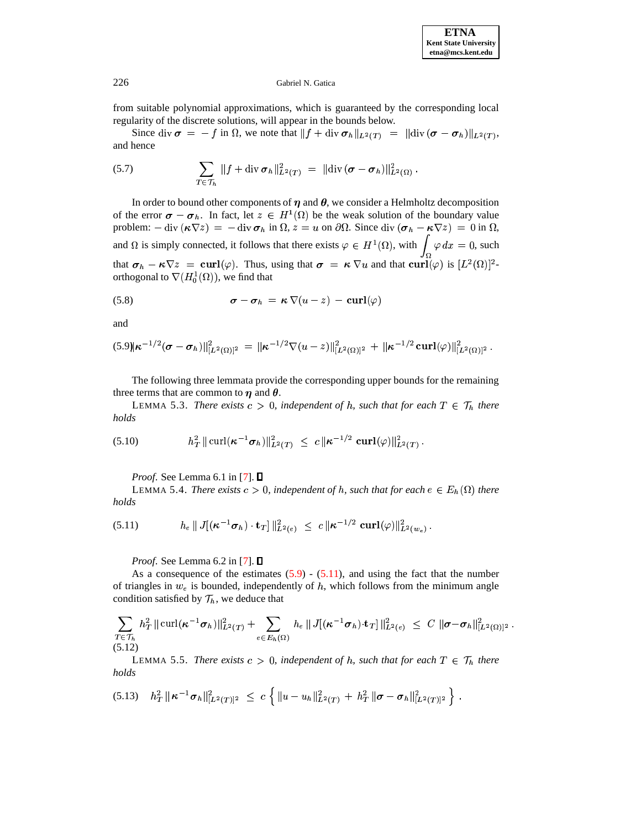from suitable polynomial approximations, which is guaranteed by the corresponding local regularity of the discrete solutions, will appear in the bounds below. "

Since div  $\sigma = -f$  in  $\Omega$ , we note that  $||f + \text{div} \sigma_h||_{L^2(T)} = ||\text{div} (\sigma - \sigma_h)||_{L^2(T)}$ , and hence

<span id="page-8-5"></span>(5.7) 
$$
\sum_{T \in \mathcal{T}_h} ||f + \operatorname{div} \boldsymbol{\sigma}_h||_{L^2(T)}^2 = ||\operatorname{div} (\boldsymbol{\sigma} - \boldsymbol{\sigma}_h)||_{L^2(\Omega)}^2.
$$

In order to bound other components of  $\eta$  and  $\theta$ , we consider a Helmholtz decomposition of the error  $\sigma - \sigma_h$ . In fact, let  $z \in H^1(\Omega)$  be the weak solution of the boundary value problem:  $-\text{div}(\kappa \nabla z) = -\text{div} \boldsymbol{\sigma}_h$  in  $\Omega$ ,  $z = u$  on  $\partial \Omega$ . Since  $\text{div}(\boldsymbol{\sigma}_h - \kappa \nabla z) = 0$  in  $\Omega$ , and  $\Omega$  is simply connected, it follows that there exists  $\varphi \in H^1(\Omega)$ , with  $\int \varphi dx = 0$ , such that  $\sigma_h - \kappa \nabla z = \operatorname{curl}(\varphi)$ . Thus, using that  $\sigma = \kappa \nabla u$  and that  $\operatorname{curl}(\varphi)$  is  $[L^2(\Omega)]^2$ orthogonal to  $\nabla(H_0^1(\Omega))$ , we find that

<span id="page-8-3"></span>(5.8) 
$$
\boldsymbol{\sigma} - \boldsymbol{\sigma}_h = \boldsymbol{\kappa} \, \nabla (u - z) - \boldsymbol{\mathrm{curl}} (\varphi)
$$

and

<span id="page-8-0"></span>
$$
(5.9||\kappa^{-1/2}(\boldsymbol{\sigma}-\boldsymbol{\sigma}_h)||_{[L^2(\Omega)]^2}^2 = ||\boldsymbol{\kappa}^{-1/2}\nabla(u-z)||_{[L^2(\Omega)]^2}^2 + ||\boldsymbol{\kappa}^{-1/2}\operatorname{curl}(\varphi)||_{[L^2(\Omega)]^2}^2.
$$

<span id="page-8-4"></span>The following three lemmata provide the corresponding upper bounds for the remaining three terms that are common to  $\eta$  and  $\theta$ .

LEMMA 5.3. *There exists*  $c > 0$ , *independent of h, such that for each*  $T \in \mathcal{T}_h$  *there holds*

(5.10) 
$$
h_T^2 \|\operatorname{curl}(\kappa^{-1}\sigma_h)\|_{L^2(T)}^2 \leq c \|\kappa^{-1/2} \operatorname{curl}(\varphi)\|_{L^2(T)}^2.
$$

*Proof.* See Lemma 6.1 in [\[7\]](#page-14-3). □

LEMMA 5.4. *There exists*  $c > 0$ , *independent of h, such that for each*  $e \in E_h(\Omega)$  *there holds*

<span id="page-8-1"></span>(5.11) 
$$
h_e \, \| J[(\kappa^{-1} \sigma_h) \cdot {\bf t}_T] \|_{L^2(e)}^2 \ \leq \ c \, \| \kappa^{-1/2} \, {\bf curl}(\varphi) \|_{L^2(w_e)}^2 \, .
$$

*Proof.* See Lemma 6.2 in [\[7\]](#page-14-3). □

As a consequence of the estimates  $(5.9)$  -  $(5.11)$ , and using the fact that the number of triangles in  $w_e$  is bounded, independently of  $h$ , which follows from the minimum angle condition satisfied by  $\mathcal{T}_h$ , we deduce that

<span id="page-8-6"></span>
$$
\sum_{T \in \mathcal{T}_h} h_T^2 \|\operatorname{curl}(\boldsymbol{\kappa}^{-1}\boldsymbol{\sigma}_h)\|_{L^2(T)}^2 + \sum_{e \in E_h(\Omega)} h_e \|J[(\boldsymbol{\kappa}^{-1}\boldsymbol{\sigma}_h) \cdot \mathbf{t}_T] \|_{L^2(e)}^2 \leq C \|\boldsymbol{\sigma} - \boldsymbol{\sigma}_h\|_{[L^2(\Omega)]^2}^2.
$$
\n(5.12)

LEMMA 5.5. *There exists*  $c > 0$ , *independent* of h, such that for each  $T \in \mathcal{T}_h$  there *holds*

<span id="page-8-2"></span>
$$
(5.13) \quad h_T^2 \|\kappa^{-1}\sigma_h\|_{[L^2(T)]^2}^2 \ \leq \ c \left\{ \|u-u_h\|_{L^2(T)}^2 + h_T^2 \|\sigma-\sigma_h\|_{[L^2(T)]^2}^2 \right\} \ .
$$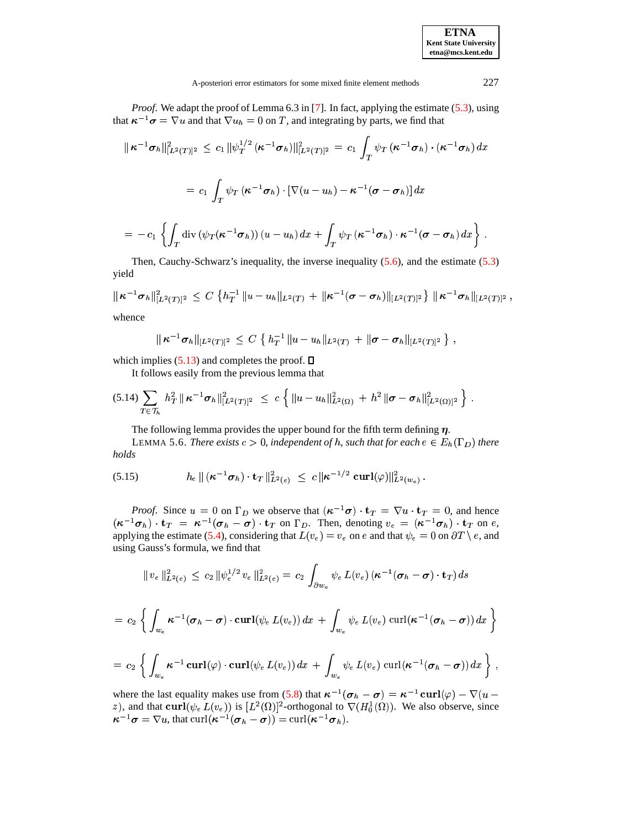| <b>ETNA</b>                  |
|------------------------------|
| <b>Kent State University</b> |
| etna@mcs.kent.edu            |

*Proof.* We adapt the proof of Lemma 6.3 in [7]. In fact, applying the estimate (5.3), using that  $\kappa^{-1}\sigma = \nabla u$  and that  $\nabla u_h = 0$  on T, and integrating by parts, we find that

$$
\|\kappa^{-1}\sigma_h\|_{[L^2(T)]^2}^2 \leq c_1 \|\psi_T^{1/2}(\kappa^{-1}\sigma_h)\|_{[L^2(T)]^2}^2 = c_1 \int_T \psi_T(\kappa^{-1}\sigma_h) \cdot (\kappa^{-1}\sigma_h) dx
$$
  

$$
= c_1 \int_T \psi_T(\kappa^{-1}\sigma_h) \cdot \left[\nabla(u - u_h) - \kappa^{-1}(\sigma - \sigma_h)\right] dx
$$
  

$$
= -c_1 \left\{\int_T \operatorname{div} \left(\psi_T(\kappa^{-1}\sigma_h)\right)(u - u_h) dx + \int_T \psi_T(\kappa^{-1}\sigma_h) \cdot \kappa^{-1}(\sigma - \sigma_h) dx\right\}.
$$

Then, Cauchy-Schwarz's inequality, the inverse inequality  $(5.6)$ , and the estimate  $(5.3)$ yield

$$
\|\kappa^{-1}\sigma_h\|_{[L^2(T)]^2}^2 \leq C \left\{h_T^{-1} \|u-u_h\|_{L^2(T)} + \|\kappa^{-1}(\sigma-\sigma_h)\|_{[L^2(T)]^2}\right\} \|\kappa^{-1}\sigma_h\|_{[L^2(T)]^2},
$$

whence

<span id="page-9-1"></span>
$$
\|\kappa^{-1}\sigma_h\|_{[L^2(T)]^2}\,\leq\,C\,\left\{\,h_T^{-1}\,\|u-u_h\|_{L^2(T)}\,+\,\|\sigma-\sigma_h\|_{[L^2(T)]^2}\,\right\}\,.
$$

which implies (5.13) and completes the proof.  $\square$ 

It follows easily from the previous lemma that

<span id="page-9-2"></span>
$$
(5.14) \sum_{T \in \mathcal{T}_h} h_T^2 \|\kappa^{-1} \sigma_h\|_{[L^2(T)]^2}^2 \leq c \left\{ \|u - u_h\|_{L^2(\Omega)}^2 + h^2 \|\sigma - \sigma_h\|_{[L^2(\Omega)]^2}^2 \right\}.
$$

The following lemma provides the upper bound for the fifth term defining  $\eta$ .

LEMMA 5.6. There exists  $c > 0$ , independent of h, such that for each  $e \in E_h(\Gamma_D)$  there holds

<span id="page-9-0"></span>(5.15) 
$$
h_e \, \| \, (\kappa^{-1} \sigma_h) \cdot \mathbf{t}_T \, \|_{L^2(e)}^2 \ \leq \ c \, \| \kappa^{-1/2} \, \operatorname{curl}(\varphi) \|_{L^2(w_e)}^2 \, .
$$

*Proof.* Since  $u = 0$  on  $\Gamma_D$  we observe that  $(\kappa^{-1}\sigma) \cdot \mathbf{t}_T = \nabla u \cdot \mathbf{t}_T = 0$ , and hence  $(\kappa^{-1}\sigma_h) \cdot \mathbf{t}_T = \kappa^{-1}(\sigma_h - \sigma) \cdot \mathbf{t}_T$  on  $\Gamma_D$ . Then, denoting  $v_e = (\kappa^{-1}\sigma_h) \cdot \mathbf{t}_T$  on  $e$ , applying the estimate (5.4), considering that  $L(v_e) = v_e$  on e and that  $\psi_e = 0$  on  $\partial T \setminus e$ , and using Gauss's formula, we find that

$$
\|v_e\|_{L^2(e)}^2 \, \leq \, c_2 \, \|\psi_e^{1/2} \, v_e\|_{L^2(e)}^2 = \, c_2 \, \int_{\partial w_e} \psi_e \, L(v_e) \, (\kappa^{-1} (\sigma_h - \sigma) \cdot \mathbf{t}_T) \, ds
$$

$$
= c_2 \left\{ \int_{w_e} \kappa^{-1} (\sigma_h - \sigma) \cdot \operatorname{curl}(\psi_e \, L(v_e)) \, dx + \int_{w_e} \psi_e \, L(v_e) \, \operatorname{curl}(\kappa^{-1} (\sigma_h - \sigma)) \, dx \right\}
$$
  

$$
= c_2 \left\{ \int_{w_e} \kappa^{-1} \operatorname{curl}(\varphi) \cdot \operatorname{curl}(\psi_e \, L(v_e)) \, dx + \int_{w_e} \psi_e \, L(v_e) \, \operatorname{curl}(\kappa^{-1} (\sigma_h - \sigma)) \, dx \right\}.
$$

where the last equality makes use from (5.8) that  $\kappa^{-1}(\sigma_h - \sigma) = \kappa^{-1} \text{curl}(\varphi) - \nabla(u - z)$ , and that  $\text{curl}(\psi_e L(v_e))$  is  $[L^2(\Omega)]^2$ -orthogonal to  $\nabla(H_0^1(\Omega))$ . We also observe, since  $\kappa^{-1}\sigma = \nabla u$ , that curl $(\kappa^{-1}(\sigma_h - \sigma)) = \text{curl}(\kappa^{-1}\sigma_h)$ .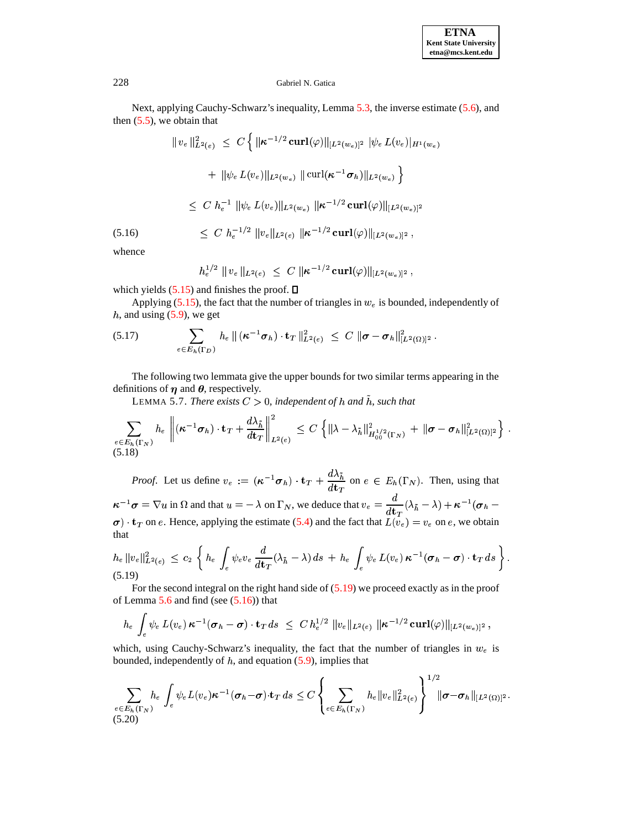Next, applying Cauchy-Schwarz's inequality, Lemma [5.3,](#page-8-4) the inverse estimate [\(5.6\)](#page-7-2), and then  $(5.5)$ , we obtain that

$$
\|v_e\|_{L^2(e)}^2 \leq C \left\{ \|\boldsymbol{\kappa}^{-1/2} \operatorname{curl}(\varphi)\|_{[L^2(w_e)]^2} |\psi_e L(v_e)|_{H^1(w_e)} \right\}
$$
  
+ 
$$
\|\psi_e L(v_e)\|_{L^2(w_e)} \|\operatorname{curl}(\boldsymbol{\kappa}^{-1} \sigma_h)\|_{L^2(w_e)} \right\}
$$
  

$$
\leq C h_e^{-1} \|\psi_e L(v_e)\|_{L^2(w_e)} \|\boldsymbol{\kappa}^{-1/2} \operatorname{curl}(\varphi)\|_{[L^2(w_e)]^2}
$$
  
(5.16) 
$$
\leq C h_e^{-1/2} \|v_e\|_{L^2(e)} \|\boldsymbol{\kappa}^{-1/2} \operatorname{curl}(\varphi)\|_{[L^2(w_e)]^2},
$$

ŕ

<span id="page-10-1"></span>whence

$$
h_e^{1/2} \, \parallel v_e \parallel_{L^2(e)} \ \leq \ C \, \parallel \!\! \kappa^{-1/2} \, {\bf curl}(\varphi) \parallel_{[L^2(w_e)]^2} ,
$$

which yields  $(5.15)$  and finishes the proof.  $\Box$ 

Applying [\(5.15\)](#page-9-0), the fact that the number of triangles in  $w_e$  is bounded, independently of h, and using  $(5.9)$ , we get

<span id="page-10-5"></span>(5.17) 
$$
\sum_{e \in E_h(\Gamma_D)} h_e \parallel (\kappa^{-1} \sigma_h) \cdot {\bf t}_T \parallel_{L^2(e)}^2 \leq C \parallel \sigma - \sigma_h \parallel_{[L^2(\Omega)]^2}^2.
$$

The following two lemmata give the upper bounds for two similar terms appearing in the definitions of  $\eta$  and  $\theta$ , respectively.

<span id="page-10-4"></span>LEMMA 5.7. *There exists*  $C > 0$ , *independent of h and h, such that* 

<span id="page-10-2"></span>
$$
\sum_{\substack{e \in E_h(\Gamma_N) \\ (5.18)}} h_e \left\| (\kappa^{-1} \sigma_h) \cdot \mathbf{t}_T + \frac{d \lambda_{\tilde{h}}}{d \mathbf{t}_T} \right\|_{L^2(e)}^2 \leq C \left\{ \| \lambda - \lambda_{\tilde{h}} \|_{H_{00}^{1/2}(\Gamma_N)}^2 + \| \sigma - \sigma_h \|_{[L^2(\Omega)]^2}^2 \right\}.
$$

*Proof.* Let us define  $v_e := (\kappa^{-1} \sigma_h) \cdot \mathbf{t}_T + \frac{d\lambda_h}{d\mu}$  on  $e \in \mathcal{E}$ .  $\frac{\partial f_{h}}{\partial \mathbf{t}_T}$  on  $e \in E_h(\Gamma_N)$ . Then, using that  $\kappa^{-1}\sigma = \nabla u$  in  $\Omega$  and that  $u = -\lambda$  on  $\Gamma_N$ , we deduce that  $v_e = \frac{a}{\mu}(\lambda_{\tilde{h}} - \lambda)$  $\frac{d\mathbf{x}^{\mathbf{y}}}{dt_{\mathbf{x}}}$   $(\lambda_{\tilde{h}} - \lambda) + \kappa^{-1}$  ( $\boldsymbol{\sigma}_h$  –  $\sigma$   $\cdot$  t<sub>T</sub> on *e*. Hence, applying the estimate [\(5.4\)](#page-7-3) and the fact that  $L(v_e) = v_e$  on *e*, we obtain that

<span id="page-10-0"></span>
$$
h_e \|v_e\|_{L^2(e)}^2 \leq c_2 \left\{ h_e \int_e \psi_e v_e \frac{d}{dt_T} (\lambda_{\tilde{h}} - \lambda) ds + h_e \int_e \psi_e L(v_e) \kappa^{-1} (\sigma_h - \sigma) \cdot \mathbf{t}_T ds \right\}.
$$
\n(5.19)

For the second integral on the right hand side of  $(5.19)$  we proceed exactly as in the proof of Lemma  $5.6$  and find (see  $(5.16)$ ) that

$$
h_e \, \int_e \psi_e \, L(v_e) \, \kappa^{-1} (\sigma_h - \sigma) \cdot \mathbf{t}_T \, ds \ \leq \ C \, h_e^{1/2} \, \|v_e\|_{L^2(e)} \, \|\kappa^{-1/2} \, {\bf curl}(\varphi)\|_{[L^2(w_e)]^2} \, ,
$$

which, using Cauchy-Schwarz's inequality, the fact that the number of triangles in  $w_e$  is bounded, independently of  $h$ , and equation [\(5.9\)](#page-8-0), implies that

<span id="page-10-3"></span>
$$
\sum_{e \in E_h(\Gamma_N)} h_e \int_e \psi_e L(v_e) \kappa^{-1}(\sigma_h - \sigma) \cdot \mathbf{t}_T ds \leq C \left\{ \sum_{e \in E_h(\Gamma_N)} h_e ||v_e||_{L^2(e)}^2 \right\}^{1/2} ||\sigma - \sigma_h||_{[L^2(\Omega)]^2}.
$$
\n(5.20)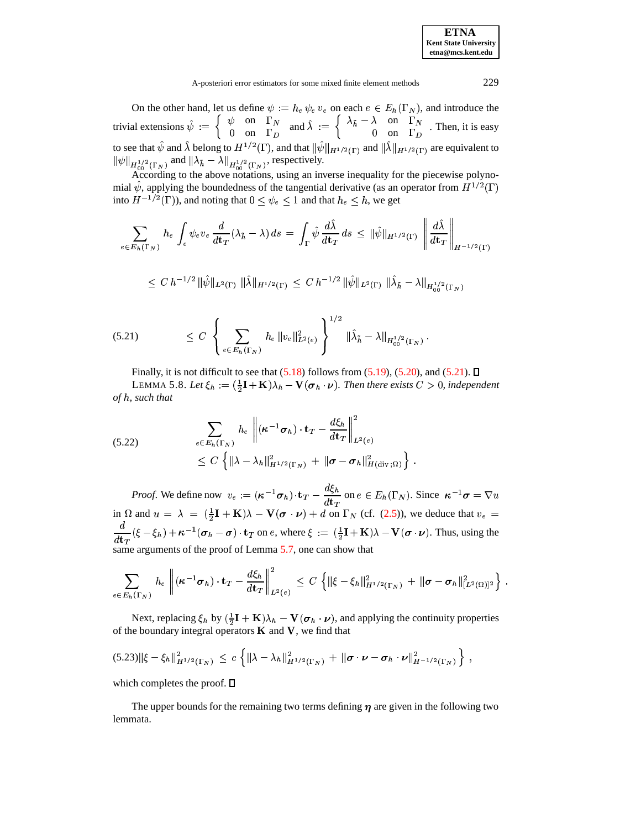On the other hand, let us define  $\psi := h_e \psi_e v_e$  on each  $e \in E_h(\Gamma_N)$ , and introduce the trivial extensions  $\hat{\psi} := \begin{cases} \psi & \text{on } \Gamma_N \\ 0 & \text{on } \Gamma \end{cases}$  and  $\hat{\lambda} := \begin{cases} \frac{1}{\sqrt{2\pi}} & \text{on } \Gamma_N \end{cases}$  $\begin{array}{cc} \n\beta & \text{on} & \Gamma_N \\ \n0 & \text{on} & \Gamma_D \n\end{array}$  and  $\lambda := \left\{ \begin{array}{ccc} \n\lambda & \lambda & \lambda \\ \n0 & \lambda & \lambda \n\end{array} \right\}$  $\int \lambda_{\tilde{h}} - \lambda$  on  $\Gamma_N$  Then it is a  $\begin{pmatrix} 0 & 0 & 1 \ 0 & 0 & \Gamma_D \end{pmatrix}$ . Then, it is easy to see that  $\psi$  and  $\lambda$  belong to  $H^{1/2}(\Gamma)$ , and that  $\|\psi\|_{H^{1/2}(\Gamma)}$  and  $\|\lambda\|_{H^{1/2}(\Gamma)}$  are equivalent to  $\|\psi\|_{H^{1/2}(\Gamma_N)}$  and  $\|\lambda_{\tilde{h}} - \lambda\|_{H^{1/2}(\Gamma_N)}$ , respectively.

According to the above notations, using an inverse inequality for the piecewise polynomial  $\psi$ , applying the boundedness of the tangential derivative (as an operator from  $H^{1/2}(\Gamma)$ into  $H^{-1/2}(\Gamma)$ ), and noting that  $0 \leq \psi_e \leq 1$  and that  $h_e \leq h$ , we get

$$
\sum_{e \in E_h(\Gamma_N)} h_e \int_e \psi_e v_e \frac{d}{dt_T} (\lambda_{\tilde{h}} - \lambda) ds = \int_{\Gamma} \hat{\psi} \frac{d\hat{\lambda}}{dt_T} ds \leq {\|\hat{\psi}\|}_{H^{1/2}(\Gamma)} \left\| \frac{d\hat{\lambda}}{dt_T} \right\|_{H^{-1/2}(\Gamma)}
$$

$$
\leq\,C\,h^{-1/2}\,\|\hat\psi\|_{L^2(\Gamma)}\,\,\|\hat\lambda\|_{H^{1/2}(\Gamma)}\,\leq\,C\,h^{-1/2}\,\|\hat\psi\|_{L^2(\Gamma)}\,\,\|\hat\lambda_{\tilde h}-\lambda\|_{H^{1/2}_{00}(\Gamma_N)}
$$

<span id="page-11-0"></span>
$$
(5.21) \qquad \leq C \left\{ \sum_{e \in E_h(\Gamma_N)} h_e \|v_e\|_{L^2(e)}^2 \right\}^{1/2} \| \hat{\lambda}_{\tilde{h}} - \lambda \|_{H_{00}^{1/2}(\Gamma_N)}.
$$

<span id="page-11-1"></span>Finally, it is not difficult to see that  $(5.18)$  follows from  $(5.19)$ ,  $(5.20)$ , and  $(5.21)$ .  $\Box$ LEMMA 5.8. Let  $\xi_h := (\frac{1}{2}\mathbf{I} + \mathbf{K})\lambda_h - \mathbf{V}(\sigma_h \cdot \nu)$ . Then there exists  $C > 0$ , independent *of , such that*

<span id="page-11-3"></span>
$$
(5.22) \qquad \sum_{e \in E_h(\Gamma_N)} h_e \left\| (\kappa^{-1} \sigma_h) \cdot \mathbf{t}_T - \frac{d\xi_h}{d\mathbf{t}_T} \right\|_{L^2(e)}^2
$$
  

$$
\leq C \left\{ \| \lambda - \lambda_h \|_{H^{1/2}(\Gamma_N)}^2 + \| \sigma - \sigma_h \|_{H(\text{div};\Omega)}^2 \right\}.
$$

*Proof.* We define now  $v_e := (\kappa^{-1} \sigma_h) \cdot \mathbf{t}_T - \frac{a \zeta_h}{u}$  on  $e \in \mathcal{E}$  $\frac{\partial \mathcal{L}_h}{\partial u}$  on  $e \in E_h(\Gamma_N)$ . Since  $\kappa^{-1} \sigma = \nabla u$ in  $\Omega$  and  $u = \lambda = (\frac{1}{2}\mathbf{I} + \mathbf{K})\lambda - \mathbf{V}(\boldsymbol{\sigma} \cdot \boldsymbol{\nu}) + \boldsymbol{d}$  on  $\Gamma_N$  (cf. [\(2.5\)](#page-2-3)), we deduce that  $v_e =$   $\frac{d}{dt_{T}}(\xi-\xi_{h})+\kappa^{-1}(\sigma_{h}-\sigma)\cdot\mathbf{t}_{T}$  on e, where  $\xi:=(\frac{1}{2}\mathbf{I}+\mathbf{K})\lambda-\mathbf{V}(\sigma\cdot\nu)$ . Thus, using the same arguments of the proof of Lemma [5.7,](#page-10-4) one can show that

$$
\sum_{e\in E_h(\Gamma_N)}\,h_e\,\left\|(\boldsymbol{\kappa}^{-1}\boldsymbol{\sigma}_h)\cdot\mathbf{t}_T-\frac{d\xi_h}{d\mathbf{t}_T}\right\|_{L^2(e)}^2\,\leq\,C\,\left\{\|\xi-\xi_h\|_{H^{1/2}(\Gamma_N)}^2\,+\,\|\boldsymbol{\sigma}-\boldsymbol{\sigma}_h\|_{[L^2(\Omega)]^2}^2\right\}\,.
$$

Next, replacing  $\xi_h$  by  $(\frac{1}{2}\mathbf{I} + \mathbf{K})\lambda_h - \mathbf{V}(\sigma_h \cdot \nu)$ , and applying the continuity properties of the boundary integral operators  $K$  and  $V$ , we find that

<span id="page-11-2"></span>
$$
(5.23)\|\xi-\xi_h\|_{H^{1/2}(\Gamma_N)}^2 \leq c \left\{\|\lambda-\lambda_h\|_{H^{1/2}(\Gamma_N)}^2 + \|\sigma \cdot \nu - \sigma_h \cdot \nu\|_{H^{-1/2}(\Gamma_N)}^2\right\},\,
$$

which completes the proof.  $\square$ 

The upper bounds for the remaining two terms defining  $\eta$  are given in the following two lemmata.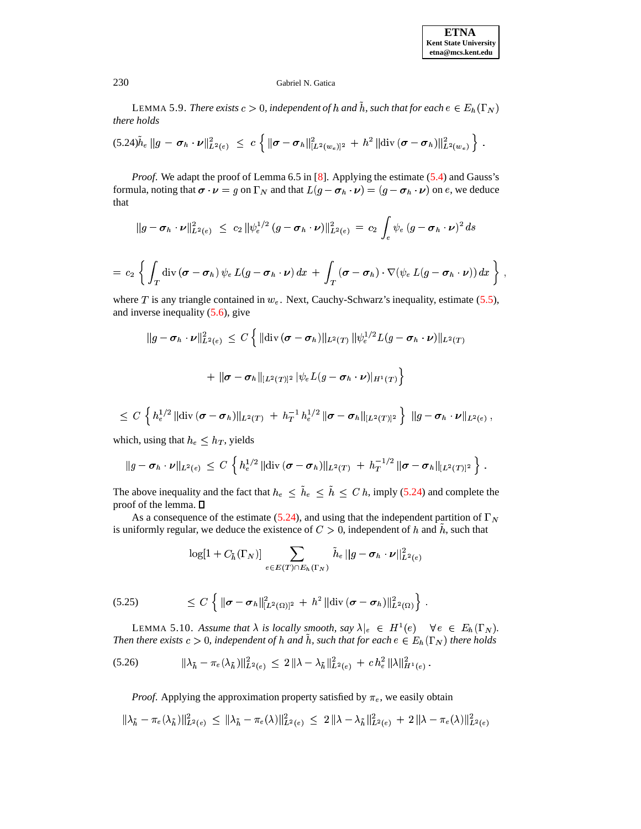## 230 Gabriel N. Gatica

LEMMA 5.9. *There exists*  $c > 0$ , independent of  $h$  and  $h$ , such that for each  $e \in E_h(\Gamma_N)$ *there holds*

<span id="page-12-0"></span>
$$
(5.24)\tilde{h}_e \|g - \sigma_h \cdot \nu\|_{L^2(e)}^2 \ \leq \ c \left\{ \|\sigma - \sigma_h\|_{[L^2(w_e)]^2}^2 \ + \ h^2 \|\text{div}(\sigma - \sigma_h)\|_{L^2(w_e)}^2 \right\} \ .
$$

*Proof.* We adapt the proof of Lemma 6.5 in [\[8\]](#page-14-4). Applying the estimate [\(5.4\)](#page-7-3) and Gauss's formula, noting that  $\sigma \cdot \nu = g$  on  $\Gamma_N$  and that  $L(g - \sigma_h \cdot \nu) = (g - \sigma_h \cdot \nu)$  on e, we deduce that

$$
\|g - \sigma_h \cdot \nu\|_{L^2(e)}^2 \ \leq \ c_2 \, \|\psi_e^{1/2} \, (g - \sigma_h \cdot \nu)\|_{L^2(e)}^2 \ = \ c_2 \, \int_e \psi_e \, (g - \sigma_h \cdot \nu)^2 \, ds
$$

$$
= c_2 \left\{ \int_T \operatorname{div} \left( \boldsymbol{\sigma} - \boldsymbol{\sigma}_h \right) \psi_e L(g - \boldsymbol{\sigma}_h \cdot \boldsymbol{\nu}) \, dx + \int_T \left( \boldsymbol{\sigma} - \boldsymbol{\sigma}_h \right) \cdot \nabla (\psi_e L(g - \boldsymbol{\sigma}_h \cdot \boldsymbol{\nu})) \, dx \right\},
$$

where T is any triangle contained in  $w_e$ . Next, Cauchy-Schwarz's inequality, estimate [\(5.5\)](#page-7-4), and inverse inequality [\(5.6\)](#page-7-2), give

$$
||g - \sigma_h \cdot \nu||_{L^2(e)}^2 \le C \left\{ ||\text{div}(\sigma - \sigma_h)||_{L^2(T)} ||\psi_e^{1/2} L(g - \sigma_h \cdot \nu)||_{L^2(T)} \right\}
$$
  
+ 
$$
||\sigma - \sigma_h||_{[L^2(T)]^2} |\psi_e L(g - \sigma_h \cdot \nu)||_{H^1(T)} \right\}
$$

$$
\leq C \, \left\{ \, h_{e}^{1/2} \, \| {\rm div}\, (\boldsymbol{\sigma}-\boldsymbol{\sigma}_h) \|_{L^2(T)} \; + \; h_T^{-1} \, h_e^{1/2} \, \| \boldsymbol{\sigma}-\boldsymbol{\sigma}_h \|_{[L^2(T)]^2} \, \right\} \; \| g-\boldsymbol{\sigma}_h \cdot \boldsymbol{\nu} \|_{L^2(e)} \, ,
$$

which, using that  $h_e \leq h_T$ , yields

$$
\|g-\sigma_h\cdot\nu\|_{L^2(e)}\,\leq\,C\,\left\{\,h^{1/2}_e\,\|\text{div}\,(\sigma-\sigma_h)\|_{L^2(T)}\,+\,h_T^{-1/2}\,\|\sigma-\sigma_h\|_{[L^2(T)]^2}\,\right\}\,.
$$

The above inequality and the fact that  $h_e \leq \tilde{h}_e \leq \tilde{h} \leq C h$ , imply [\(5.24\)](#page-12-0) and complete the proof of the lemma.

As a consequence of the estimate [\(5.24\)](#page-12-0), and using that the independent partition of  $\Gamma_N$ is uniformly regular, we deduce the existence of  $C > 0$ , independent of h and h, such that

$$
\log[1+C_{\tilde{h}}(\Gamma_N)] \sum_{e\in E(T)\cap E_h(\Gamma_N)} \tilde{h}_e \, ||g-\pmb{\sigma}_h\cdot\pmb{\nu}||^2_{L^2(e)}
$$

<span id="page-12-2"></span>
$$
(5.25) \t\t\t\t\t\leq C \left\{ \|\boldsymbol{\sigma}-\boldsymbol{\sigma}_h\|_{[L^2(\Omega)]^2}^2 + h^2 \|\text{div}(\boldsymbol{\sigma}-\boldsymbol{\sigma}_h)\|_{L^2(\Omega)}^2 \right\}.
$$

LEMMA 5.10. Assume that  $\lambda$  is locally smooth, say  $\lambda|_e \in H^1(e) \quad \forall e \in E_h(\Gamma_N)$ . Then there exists  $c > 0$ , independent of h and h, such that for each  $e \in E_h(\Gamma_N)$  there holds

<span id="page-12-1"></span>
$$
(5.26) \t\t\t ||\lambda_{\tilde{h}} - \pi_e(\lambda_{\tilde{h}})||_{L^2(e)}^2 \leq 2 ||\lambda - \lambda_{\tilde{h}}||_{L^2(e)}^2 + c h_e^2 ||\lambda||_{H^1(e)}^2.
$$

*Proof.* Applying the approximation property satisfied by  $\pi_e$ , we easily obtain " "

$$
\|\lambda_{\tilde{h}} - \pi_e(\lambda_{\tilde{h}})\|_{L^2(e)}^2 \le \|\lambda_{\tilde{h}} - \pi_e(\lambda)\|_{L^2(e)}^2 \le 2\|\lambda - \lambda_{\tilde{h}}\|_{L^2(e)}^2 + 2\|\lambda - \pi_e(\lambda)\|_{L^2(e)}^2
$$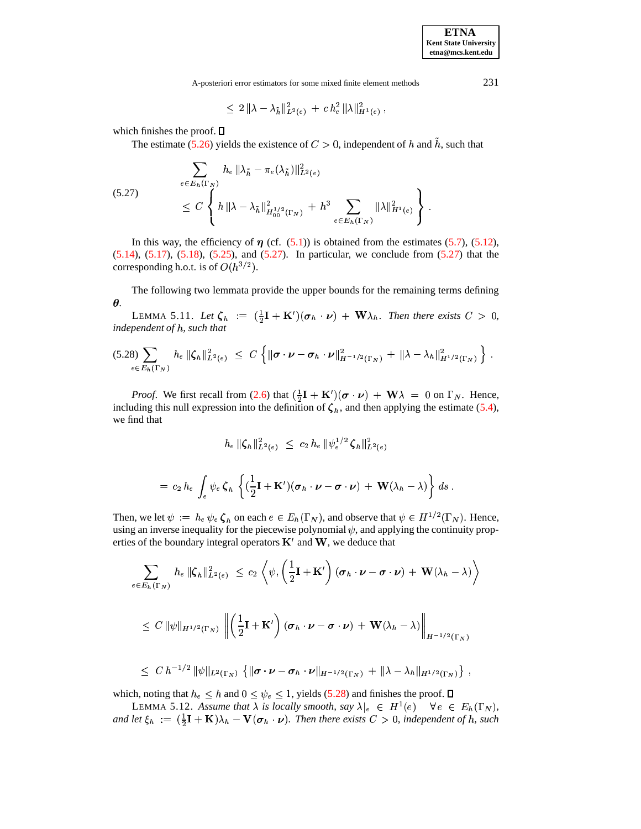<sup>&</sup>lt;

A-posteriori error estimators for some mixed finite element methods 231

$$
\leq 2 \, \| \lambda - \lambda_{\tilde h} \|^2_{L^2(e)} \, + \, c \, h_e^2 \, \| \lambda \|^2_{H^1(e)} \, ,
$$

which finishes the proof.  $\square$ 

The estimate [\(5.26\)](#page-12-1) yields the existence of  $C > 0$ , independent of h and h, such that

<span id="page-13-0"></span>
$$
\sum_{e \in E_h(\Gamma_N)} h_e \|\lambda_{\tilde{h}} - \pi_e(\lambda_{\tilde{h}})\|_{L^2(e)}^2
$$
\n
$$
\leq C \left\{ h \|\lambda - \lambda_{\tilde{h}}\|_{H_{00}^{1/2}(\Gamma_N)}^2 + h^3 \sum_{e \in E_h(\Gamma_N)} \|\lambda\|_{H^1(e)}^2 \right\}.
$$

In this way, the efficiency of  $\eta$  (cf. [\(5.1\)](#page-7-5)) is obtained from the estimates [\(5.7\)](#page-8-5), [\(5.12\)](#page-8-6), [\(5.14\)](#page-9-2), [\(5.17\)](#page-10-5), [\(5.18\)](#page-10-2), [\(5.25\)](#page-12-2), and [\(5.27\)](#page-13-0). In particular, we conclude from [\(5.27\)](#page-13-0) that the corresponding h.o.t. is of  $O(h^{3/2})$ .

The following two lemmata provide the upper bounds for the remaining terms defining  $\theta$ .

LEMMA 5.11. Let  $\zeta_h := (\frac{1}{2}\mathbf{I} + \mathbf{K}')(\boldsymbol{\sigma}_h \cdot \boldsymbol{\nu}) + \mathbf{W}\lambda_h$ . Then there exists  $C > 0$ , *independent of , such that*

<span id="page-13-1"></span>
$$
(5.28) \sum_{e \in E_h(\Gamma_N)} h_e \, \|\zeta_h\|_{L^2(e)}^2 \leq C \left\{ \|\boldsymbol{\sigma} \cdot \boldsymbol{\nu} - \boldsymbol{\sigma}_h \cdot \boldsymbol{\nu}\|_{H^{-1/2}(\Gamma_N)}^2 + \|\lambda - \lambda_h\|_{H^{1/2}(\Gamma_N)}^2 \right\}.
$$

*Proof.* We first recall from [\(2.6\)](#page-2-4) that  $(\frac{1}{2}\mathbf{I} + \mathbf{K}')(\boldsymbol{\sigma} \cdot \boldsymbol{\nu}) + \mathbf{W}\lambda = 0$  on  $\Gamma_N$ . Hence, including this null expression into the definition of  $\zeta_h$ , and then applying the estimate [\(5.4\)](#page-7-3), we find that

$$
h_e \, \|\boldsymbol{\zeta}_h\|_{L^2(e)}^2 \ \le \ c_2 \, h_e \, \|\psi_e^{1/2} \, \boldsymbol{\zeta}_h\|_{L^2(e)}^2
$$

$$
= c_2 h_e \int_e \psi_e \, \zeta_h \, \left\{ (\frac{1}{2} \mathbf{I} + \mathbf{K}') (\boldsymbol{\sigma}_h \cdot \boldsymbol{\nu} - \boldsymbol{\sigma} \cdot \boldsymbol{\nu}) + \mathbf{W} (\lambda_h - \lambda) \right\} ds \, .
$$

Then, we let  $\psi := h_e \psi_e \zeta_h$  on each  $e \in E_h(\Gamma_N)$ , and observe that  $\psi \in H^{1/2}(\Gamma_N)$ . Hence, using an inverse inequality for the piecewise polynomial  $\psi$ , and applying the continuity properties of the boundary integral operators  $K'$  and  $W$ , we deduce that

$$
\sum_{e \in E_h(\Gamma_N)} h_e \|\zeta_h\|_{L^2(e)}^2 \leq c_2 \left\langle \psi, \left(\frac{1}{2}\mathbf{I} + \mathbf{K}'\right) (\boldsymbol{\sigma}_h \cdot \boldsymbol{\nu} - \boldsymbol{\sigma} \cdot \boldsymbol{\nu}) + \mathbf{W}(\lambda_h - \lambda) \right\rangle
$$
  

$$
\leq C \|\psi\|_{H^{1/2}(\Gamma_N)} \left\| \left(\frac{1}{2}\mathbf{I} + \mathbf{K}'\right) (\boldsymbol{\sigma}_h \cdot \boldsymbol{\nu} - \boldsymbol{\sigma} \cdot \boldsymbol{\nu}) + \mathbf{W}(\lambda_h - \lambda) \right\|_{H^{-1/2}(\Gamma_N)}
$$
  

$$
\leq C h^{-1/2} \|\psi\|_{L^2(\Gamma_N)} \left\{ \|\boldsymbol{\sigma} \cdot \boldsymbol{\nu} - \boldsymbol{\sigma}_h \cdot \boldsymbol{\nu}\|_{H^{-1/2}(\Gamma_N)} + \|\lambda - \lambda_h\|_{H^{1/2}(\Gamma_N)} \right\},
$$

$$
\leq C h^{-1/2} \|\psi\|_{L^2(\Gamma_N)} \left\{ \|\sigma \cdot \nu - \sigma_h \cdot \nu\|_{H^{-1/2}(\Gamma_N)} + \|\lambda - \lambda_h\|_{H^{1/2}(\Gamma_N)} \right\} ,
$$

which, noting that  $h_e \leq h$  and  $0 \leq \psi_e \leq 1$ , yields [\(5.28\)](#page-13-1) and finishes the proof.

LEMMA 5.12. Assume that  $\lambda$  is locally smooth, say  $\lambda|_e \in H^1(e) \quad \forall e \in E_h(\Gamma_N)$ , and let  $\xi_h := (\frac{1}{2}\mathbf{I} + \mathbf{K})\lambda_h - \mathbf{V}(\sigma_h \cdot \nu)$ . Then there exists  $C > 0$ , independent of h, such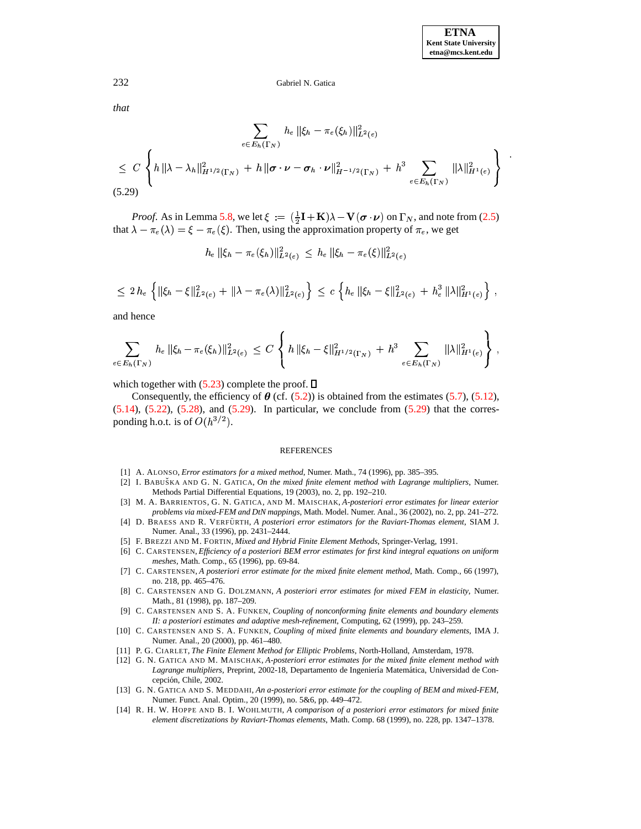*that*

<span id="page-14-14"></span>
$$
\sum_{e \in E_h(\Gamma_N)} h_e \|\xi_h - \pi_e(\xi_h)\|_{L^2(e)}^2
$$
\n
$$
\leq C \left\{ h \|\lambda - \lambda_h\|_{H^{1/2}(\Gamma_N)}^2 + h \|\sigma \cdot \nu - \sigma_h \cdot \nu\|_{H^{-1/2}(\Gamma_N)}^2 + h^3 \sum_{e \in E_h(\Gamma_N)} \|\lambda\|_{H^1(e)}^2 \right\}.
$$
\n(5.29)

*Proof.* As in Lemma [5.8,](#page-11-1) we let  $\xi := (\frac{1}{2}\mathbf{I} + \mathbf{K})\lambda - \mathbf{V}(\boldsymbol{\sigma} \cdot \boldsymbol{\nu})$  on  $\Gamma_N$ , and note from [\(2.5\)](#page-2-3) that  $\lambda - \pi_e(\lambda) = \xi - \pi_e(\xi)$ . Then, using the approximation property of  $\pi_e$ , we get

$$
h_e \, \|\xi_h - \pi_e(\xi_h)\|_{L^2(e)}^2 \, \leq \, h_e \, \|\xi_h - \pi_e(\xi)\|_{L^2(e)}^2
$$

$$
\leq 2 h_e \left\{ \|\xi_h - \xi\|_{L^2(e)}^2 + \|\lambda - \pi_e(\lambda)\|_{L^2(e)}^2 \right\} \leq c \left\{ h_e \|\xi_h - \xi\|_{L^2(e)}^2 + h_e^3 \|\lambda\|_{H^1(e)}^2 \right\},
$$

and hence

$$
\sum_{e \in E_h(\Gamma_N)} h_e \, \|\xi_h - \pi_e(\xi_h)\|_{L^2(e)}^2 \, \leq \, C \left\{ h \, \|\xi_h - \xi\|_{H^{1/2}(\Gamma_N)}^2 + h^3 \sum_{e \in E_h(\Gamma_N)} \|\lambda\|_{H^1(e)}^2 \right\} \, ,
$$

which together with  $(5.23)$  complete the proof.  $\square$ 

Consequently, the efficiency of  $\theta$  (cf. [\(5.2\)](#page-7-6)) is obtained from the estimates [\(5.7\)](#page-8-5), [\(5.12\)](#page-8-6),  $(5.14)$ ,  $(5.22)$ ,  $(5.28)$ , and  $(5.29)$ . In particular, we conclude from  $(5.29)$  that the corresponding h.o.t. is of  $O(h^{3/2})$ .

#### REFERENCES

- <span id="page-14-10"></span><span id="page-14-1"></span>[1] A. ALONSO, *Error estimators for a mixed method*, Numer. Math., 74 (1996), pp. 385–395.
- [2] I. BABUSˇ KA AND G. N. GATICA, *On the mixed finite element method with Lagrange multipliers*, Numer. Methods Partial Differential Equations, 19 (2003), no. 2, pp. 192–210.
- <span id="page-14-12"></span><span id="page-14-2"></span>[3] M. A. BARRIENTOS, G. N. GATICA, AND M. MAISCHAK, *A-posteriori error estimates for linear exterior problems via mixed-FEM and DtN mappings*, Math. Model. Numer. Anal., 36 (2002), no. 2, pp. 241–272.
- [4] D. BRAESS AND R. VERFU¨ RTH, *A posteriori error estimators for the Raviart-Thomas element*, SIAM J. Numer. Anal., 33 (1996), pp. 2431–2444.
- <span id="page-14-8"></span><span id="page-14-0"></span>[5] F. BREZZI AND M. FORTIN, *Mixed and Hybrid Finite Element Methods*, Springer-Verlag, 1991.
- [6] C. CARSTENSEN, *Efficiency of a posteriori BEM error estimates for first kind integral equations on uniform meshes*, Math. Comp., 65 (1996), pp. 69-84.
- <span id="page-14-3"></span>[7] C. CARSTENSEN, *A posteriori error estimate for the mixed finite element method*, Math. Comp., 66 (1997), no. 218, pp. 465–476.
- <span id="page-14-4"></span>[8] C. CARSTENSEN AND G. DOLZMANN, *A posteriori error estimates for mixed FEM in elasticity*, Numer. Math., 81 (1998), pp. 187–209.
- <span id="page-14-9"></span>[9] C. CARSTENSEN AND S. A. FUNKEN, *Coupling of nonconforming finite elements and boundary elements II: a posteriori estimates and adaptive mesh-refinement*, Computing, 62 (1999), pp. 243–259.
- <span id="page-14-6"></span>[10] C. CARSTENSEN AND S. A. FUNKEN, *Coupling of mixed finite elements and boundary elements*, IMA J. Numer. Anal., 20 (2000), pp. 461–480.
- <span id="page-14-13"></span><span id="page-14-11"></span>[11] P. G. CIARLET, *The Finite Element Method for Elliptic Problems*, North-Holland, Amsterdam, 1978.
- [12] G. N. GATICA AND M. MAISCHAK, *A-posteriori error estimates for the mixed finite element method with* Lagrange multipliers, Preprint, 2002-18, Departamento de Ingeniería Matemática, Universidad de Concepción, Chile, 2002.
- <span id="page-14-7"></span>[13] G. N. GATICA AND S. MEDDAHI, *An a-posteriori error estimate for the coupling of BEM and mixed-FEM*, Numer. Funct. Anal. Optim., 20 (1999), no. 5&6, pp. 449–472.
- <span id="page-14-5"></span>[14] R. H. W. HOPPE AND B. I. WOHLMUTH, *A comparison of a posteriori error estimators for mixed finite element discretizations by Raviart-Thomas elements*, Math. Comp. 68 (1999), no. 228, pp. 1347–1378.